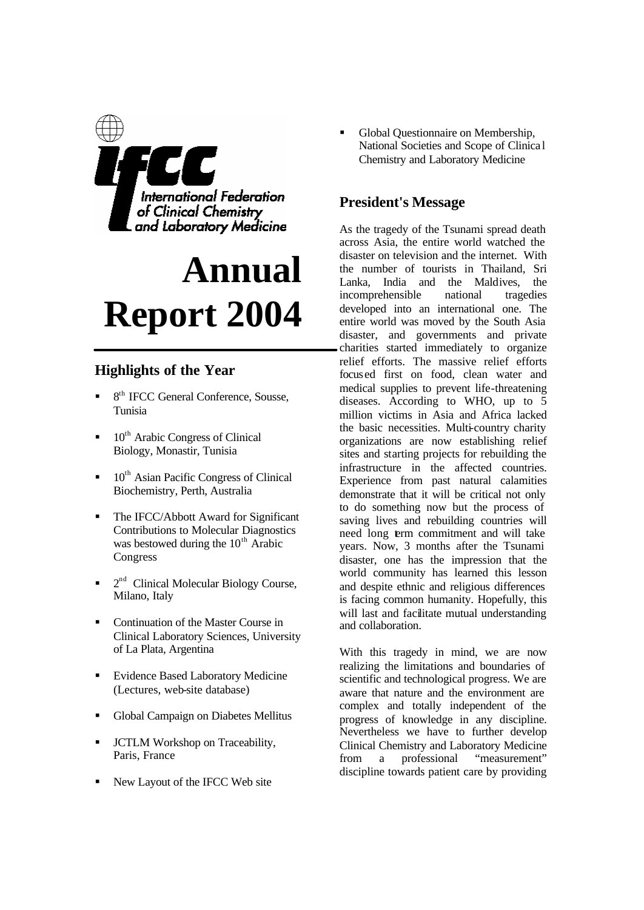

# **Annual Report 2004**

# **Highlights of the Year**

- <sup>8th</sup> IFCC General Conference, Sousse, Tunisia
- 10<sup>th</sup> Arabic Congress of Clinical Biology, Monastir, Tunisia
- $\blacksquare$  10<sup>th</sup> Asian Pacific Congress of Clinical Biochemistry, Perth, Australia
- ß The IFCC/Abbott Award for Significant Contributions to Molecular Diagnostics was bestowed during the  $10<sup>th</sup>$  Arabic Congress
- $\blacksquare$   $2<sup>nd</sup>$  Clinical Molecular Biology Course, Milano, Italy
- Continuation of the Master Course in Clinical Laboratory Sciences, University of La Plata, Argentina
- Evidence Based Laboratory Medicine (Lectures, web-site database)
- ß Global Campaign on Diabetes Mellitus
- **ICTLM Workshop on Traceability,** Paris, France
- ß New Layout of the IFCC Web site

ß Global Questionnaire on Membership, National Societies and Scope of Clinica l Chemistry and Laboratory Medicine

# **President's Message**

As the tragedy of the Tsunami spread death across Asia, the entire world watched the disaster on television and the internet. With the number of tourists in Thailand, Sri Lanka, India and the Maldives, the incomprehensible national tragedies developed into an international one. The entire world was moved by the South Asia disaster, and governments and private charities started immediately to organize relief efforts. The massive relief efforts focused first on food, clean water and medical supplies to prevent life-threatening diseases. According to WHO, up to 5 million victims in Asia and Africa lacked the basic necessities. Multi-country charity organizations are now establishing relief sites and starting projects for rebuilding the infrastructure in the affected countries. Experience from past natural calamities demonstrate that it will be critical not only to do something now but the process of saving lives and rebuilding countries will need long term commitment and will take years. Now, 3 months after the Tsunami disaster, one has the impression that the world community has learned this lesson and despite ethnic and religious differences is facing common humanity. Hopefully, this will last and facilitate mutual understanding and collaboration.

With this tragedy in mind, we are now realizing the limitations and boundaries of scientific and technological progress. We are aware that nature and the environment are complex and totally independent of the progress of knowledge in any discipline. Nevertheless we have to further develop Clinical Chemistry and Laboratory Medicine from a professional "measurement" discipline towards patient care by providing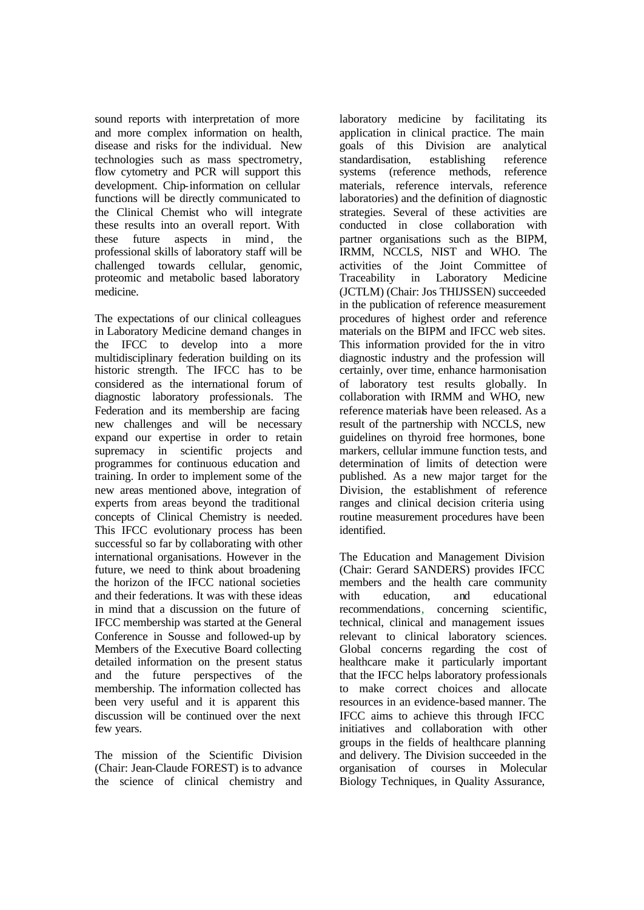sound reports with interpretation of more and more complex information on health, disease and risks for the individual. New technologies such as mass spectrometry, flow cytometry and PCR will support this development. Chip-information on cellular functions will be directly communicated to the Clinical Chemist who will integrate these results into an overall report. With these future aspects in mind, the professional skills of laboratory staff will be challenged towards cellular, genomic, proteomic and metabolic based laboratory medicine.

The expectations of our clinical colleagues in Laboratory Medicine demand changes in the IFCC to develop into a more multidisciplinary federation building on its historic strength. The IFCC has to be considered as the international forum of diagnostic laboratory professionals. The Federation and its membership are facing new challenges and will be necessary expand our expertise in order to retain supremacy in scientific projects and programmes for continuous education and training. In order to implement some of the new areas mentioned above, integration of experts from areas beyond the traditional concepts of Clinical Chemistry is needed. This IFCC evolutionary process has been successful so far by collaborating with other international organisations. However in the future, we need to think about broadening the horizon of the IFCC national societies and their federations. It was with these ideas in mind that a discussion on the future of IFCC membership was started at the General Conference in Sousse and followed-up by Members of the Executive Board collecting detailed information on the present status and the future perspectives of the membership. The information collected has been very useful and it is apparent this discussion will be continued over the next few years.

The mission of the Scientific Division (Chair: Jean-Claude FOREST) is to advance the science of clinical chemistry and

laboratory medicine by facilitating its application in clinical practice. The main goals of this Division are analytical standardisation, establishing reference systems (reference methods, reference materials, reference intervals, reference laboratories) and the definition of diagnostic strategies. Several of these activities are conducted in close collaboration with partner organisations such as the BIPM, IRMM, NCCLS, NIST and WHO. The activities of the Joint Committee of Traceability in Laboratory Medicine (JCTLM) (Chair: Jos THIJSSEN) succeeded in the publication of reference measurement procedures of highest order and reference materials on the BIPM and IFCC web sites. This information provided for the in vitro diagnostic industry and the profession will certainly, over time, enhance harmonisation of laboratory test results globally. In collaboration with IRMM and WHO, new reference materials have been released. As a result of the partnership with NCCLS, new guidelines on thyroid free hormones, bone markers, cellular immune function tests, and determination of limits of detection were published. As a new major target for the Division, the establishment of reference ranges and clinical decision criteria using routine measurement procedures have been identified.

The Education and Management Division (Chair: Gerard SANDERS) provides IFCC members and the health care community with education, and educational recommendations, concerning scientific, technical, clinical and management issues relevant to clinical laboratory sciences. Global concerns regarding the cost of healthcare make it particularly important that the IFCC helps laboratory professionals to make correct choices and allocate resources in an evidence-based manner. The IFCC aims to achieve this through IFCC initiatives and collaboration with other groups in the fields of healthcare planning and delivery. The Division succeeded in the organisation of courses in Molecular Biology Techniques, in Quality Assurance,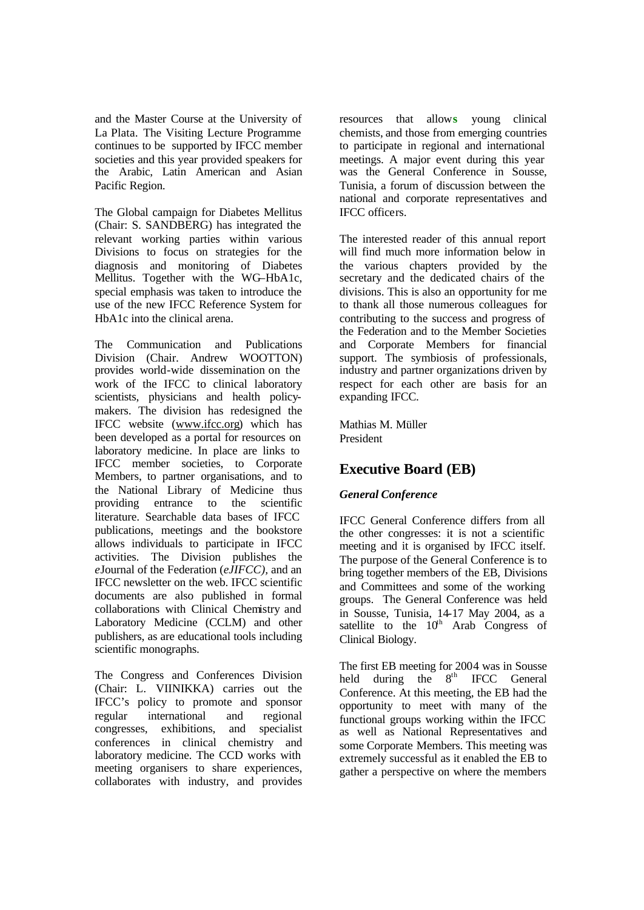and the Master Course at the University of La Plata. The Visiting Lecture Programme continues to be supported by IFCC member societies and this year provided speakers for the Arabic, Latin American and Asian Pacific Region.

The Global campaign for Diabetes Mellitus (Chair: S. SANDBERG) has integrated the relevant working parties within various Divisions to focus on strategies for the diagnosis and monitoring of Diabetes Mellitus. Together with the WG–HbA1c, special emphasis was taken to introduce the use of the new IFCC Reference System for HbA1c into the clinical arena.

The Communication and Publications Division (Chair. Andrew WOOTTON) provides world-wide dissemination on the work of the IFCC to clinical laboratory scientists, physicians and health policymakers. The division has redesigned the IFCC website (www.ifcc.org) which has been developed as a portal for resources on laboratory medicine. In place are links to IFCC member societies, to Corporate Members, to partner organisations, and to the National Library of Medicine thus providing entrance to the scientific literature. Searchable data bases of IFCC publications, meetings and the bookstore allows individuals to participate in IFCC activities. The Division publishes the *e*Journal of the Federation (*eJIFCC),* and an IFCC newsletter on the web. IFCC scientific documents are also published in formal collaborations with Clinical Chemistry and Laboratory Medicine (CCLM) and other publishers, as are educational tools including scientific monographs.

The Congress and Conferences Division (Chair: L. VIINIKKA) carries out the IFCC's policy to promote and sponsor regular international and regional congresses, exhibitions, and specialist conferences in clinical chemistry and laboratory medicine. The CCD works with meeting organisers to share experiences, collaborates with industry, and provides resources that allow**s** young clinical chemists, and those from emerging countries to participate in regional and international meetings. A major event during this year was the General Conference in Sousse, Tunisia, a forum of discussion between the national and corporate representatives and IFCC officers.

The interested reader of this annual report will find much more information below in the various chapters provided by the secretary and the dedicated chairs of the divisions. This is also an opportunity for me to thank all those numerous colleagues for contributing to the success and progress of the Federation and to the Member Societies and Corporate Members for financial support. The symbiosis of professionals, industry and partner organizations driven by respect for each other are basis for an expanding IFCC.

Mathias M. Müller President

# **Executive Board (EB)**

# *General Conference*

IFCC General Conference differs from all the other congresses: it is not a scientific meeting and it is organised by IFCC itself. The purpose of the General Conference is to bring together members of the EB, Divisions and Committees and some of the working groups. The General Conference was held in Sousse, Tunisia, 14-17 May 2004, as a satellite to the  $10<sup>th</sup>$  Arab Congress of Clinical Biology.

The first EB meeting for 2004 was in Sousse held during the  $8<sup>th</sup>$  IFCC General Conference. At this meeting, the EB had the opportunity to meet with many of the functional groups working within the IFCC as well as National Representatives and some Corporate Members. This meeting was extremely successful as it enabled the EB to gather a perspective on where the members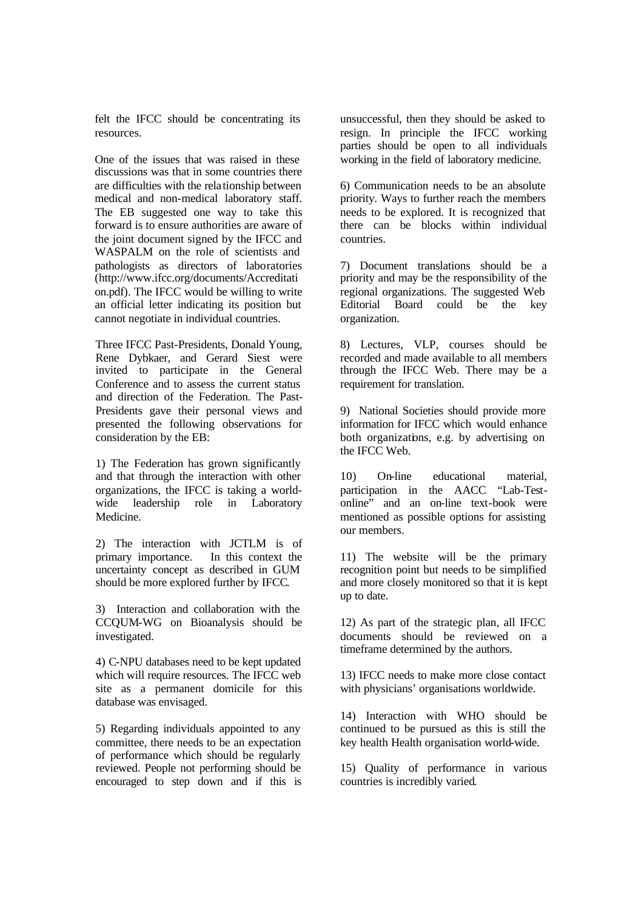felt the IFCC should be concentrating its resources.

One of the issues that was raised in these discussions was that in some countries there are difficulties with the rela tionship between medical and non-medical laboratory staff. The EB suggested one way to take this forward is to ensure authorities are aware of the joint document signed by the IFCC and WASPALM on the role of scientists and pathologists as directors of laboratories (http://www.ifcc.org/documents/Accreditati on.pdf). The IFCC would be willing to write an official letter indicating its position but cannot negotiate in individual countries.

Three IFCC Past-Presidents, Donald Young, Rene Dybkaer, and Gerard Siest were invited to participate in the General Conference and to assess the current status and direction of the Federation. The Past-Presidents gave their personal views and presented the following observations for consideration by the EB:

1) The Federation has grown significantly and that through the interaction with other organizations, the IFCC is taking a worldwide leadership role in Laboratory Medicine.

2) The interaction with JCTLM is of primary importance. In this context the uncertainty concept as described in GUM should be more explored further by IFCC.

3) Interaction and collaboration with the CCQUM-WG on Bioanalysis should be investigated.

4) C-NPU databases need to be kept updated which will require resources. The IFCC web site as a permanent domicile for this database was envisaged.

5) Regarding individuals appointed to any committee, there needs to be an expectation of performance which should be regularly reviewed. People not performing should be encouraged to step down and if this is

unsuccessful, then they should be asked to resign. In principle the IFCC working parties should be open to all individuals working in the field of laboratory medicine.

6) Communication needs to be an absolute priority. Ways to further reach the members needs to be explored. It is recognized that there can be blocks within individual countries.

7) Document translations should be a priority and may be the responsibility of the regional organizations. The suggested Web Editorial Board could be the key organization.

8) Lectures, VLP, courses should be recorded and made available to all members through the IFCC Web. There may be a requirement for translation.

9) National Societies should provide more information for IFCC which would enhance both organizations, e.g. by advertising on the IFCC Web.

10) On-line educational material, participation in the AACC "Lab-Testonline" and an on-line text-book were mentioned as possible options for assisting our members.

11) The website will be the primary recognition point but needs to be simplified and more closely monitored so that it is kept up to date.

12) As part of the strategic plan, all IFCC documents should be reviewed on a timeframe determined by the authors.

13) IFCC needs to make more close contact with physicians' organisations worldwide.

14) Interaction with WHO should be continued to be pursued as this is still the key health Health organisation world-wide.

15) Quality of performance in various countries is incredibly varied.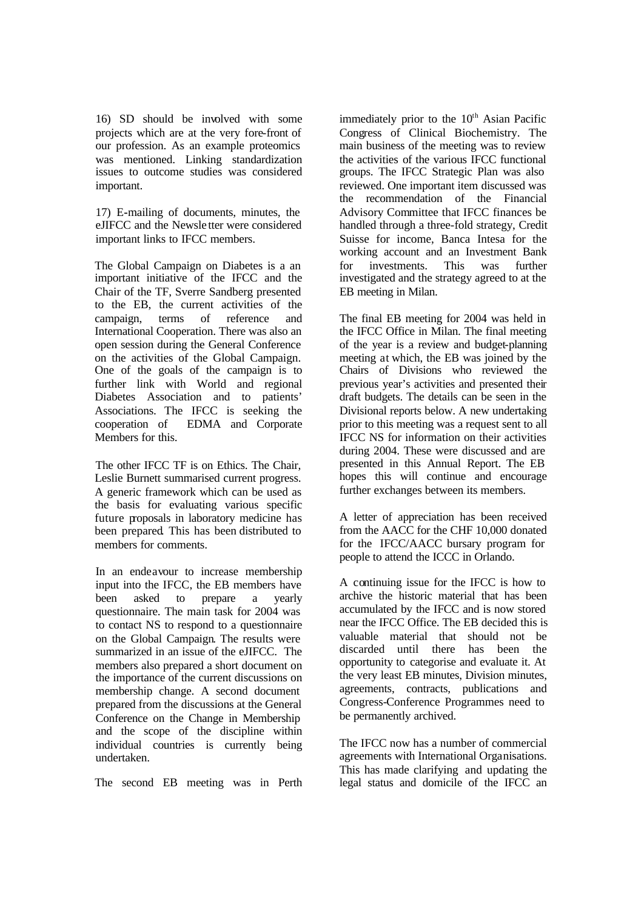16) SD should be involved with some projects which are at the very fore-front of our profession. As an example proteomics was mentioned. Linking standardization issues to outcome studies was considered important.

17) E**-**mailing of documents, minutes, the eJIFCC and the Newsle tter were considered important links to IFCC members.

The Global Campaign on Diabetes is a an important initiative of the IFCC and the Chair of the TF, Sverre Sandberg presented to the EB, the current activities of the campaign, terms of reference and International Cooperation. There was also an open session during the General Conference on the activities of the Global Campaign. One of the goals of the campaign is to further link with World and regional Diabetes Association and to patients' Associations. The IFCC is seeking the cooperation of EDMA and Corporate Members for this.

The other IFCC TF is on Ethics. The Chair, Leslie Burnett summarised current progress. A generic framework which can be used as the basis for evaluating various specific future proposals in laboratory medicine has been prepared. This has been distributed to members for comments.

In an endeavour to increase membership input into the IFCC, the EB members have been asked to prepare a yearly questionnaire. The main task for 2004 was to contact NS to respond to a questionnaire on the Global Campaign. The results were summarized in an issue of the eJIFCC. The members also prepared a short document on the importance of the current discussions on membership change. A second document prepared from the discussions at the General Conference on the Change in Membership and the scope of the discipline within individual countries is currently being undertaken.

The second EB meeting was in Perth

immediately prior to the 10<sup>th</sup> Asian Pacific Congress of Clinical Biochemistry. The main business of the meeting was to review the activities of the various IFCC functional groups. The IFCC Strategic Plan was also reviewed. One important item discussed was the recommendation of the Financial Advisory Committee that IFCC finances be handled through a three-fold strategy, Credit Suisse for income, Banca Intesa for the working account and an Investment Bank for investments. This was further investigated and the strategy agreed to at the EB meeting in Milan.

The final EB meeting for 2004 was held in the IFCC Office in Milan. The final meeting of the year is a review and budget-planning meeting at which, the EB was joined by the Chairs of Divisions who reviewed the previous year's activities and presented their draft budgets. The details can be seen in the Divisional reports below. A new undertaking prior to this meeting was a request sent to all IFCC NS for information on their activities during 2004. These were discussed and are presented in this Annual Report. The EB hopes this will continue and encourage further exchanges between its members.

A letter of appreciation has been received from the AACC for the CHF 10,000 donated for the IFCC/AACC bursary program for people to attend the ICCC in Orlando.

A continuing issue for the IFCC is how to archive the historic material that has been accumulated by the IFCC and is now stored near the IFCC Office. The EB decided this is valuable material that should not be discarded until there has been the opportunity to categorise and evaluate it. At the very least EB minutes, Division minutes, agreements, contracts, publications and Congress-Conference Programmes need to be permanently archived.

The IFCC now has a number of commercial agreements with International Organisations. This has made clarifying and updating the legal status and domicile of the IFCC an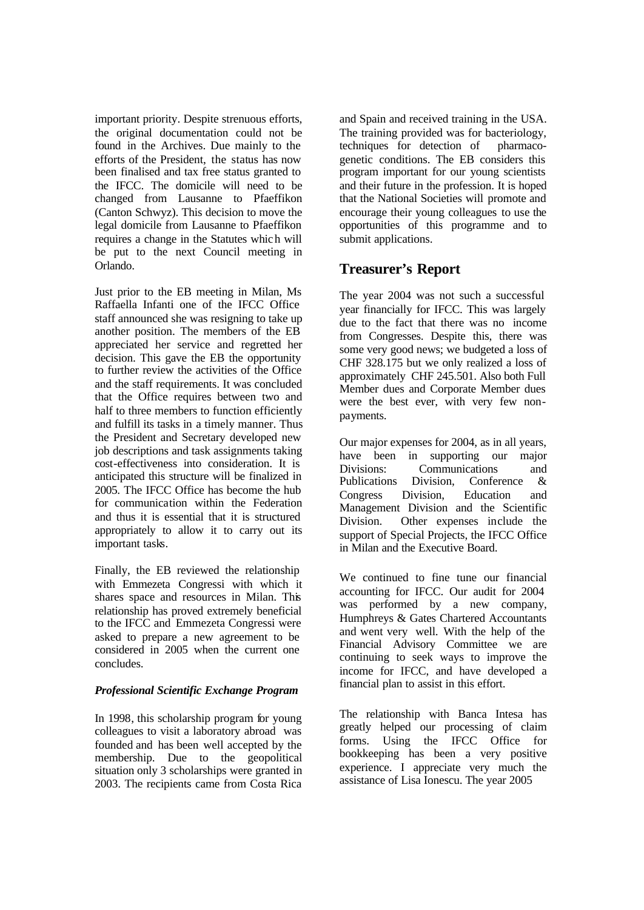important priority. Despite strenuous efforts, the original documentation could not be found in the Archives. Due mainly to the efforts of the President, the status has now been finalised and tax free status granted to the IFCC. The domicile will need to be changed from Lausanne to Pfaeffikon (Canton Schwyz). This decision to move the legal domicile from Lausanne to Pfaeffikon requires a change in the Statutes whic h will be put to the next Council meeting in Orlando.

Just prior to the EB meeting in Milan, Ms Raffaella Infanti one of the IFCC Office staff announced she was resigning to take up another position. The members of the EB appreciated her service and regretted her decision. This gave the EB the opportunity to further review the activities of the Office and the staff requirements. It was concluded that the Office requires between two and half to three members to function efficiently and fulfill its tasks in a timely manner. Thus the President and Secretary developed new job descriptions and task assignments taking cost-effectiveness into consideration. It is anticipated this structure will be finalized in 2005. The IFCC Office has become the hub for communication within the Federation and thus it is essential that it is structured appropriately to allow it to carry out its important tasks.

Finally, the EB reviewed the relationship with Emmezeta Congressi with which it shares space and resources in Milan. This relationship has proved extremely beneficial to the IFCC and Emmezeta Congressi were asked to prepare a new agreement to be considered in 2005 when the current one concludes.

# *Professional Scientific Exchange Program*

In 1998, this scholarship program for young colleagues to visit a laboratory abroad was founded and has been well accepted by the membership. Due to the geopolitical situation only 3 scholarships were granted in 2003. The recipients came from Costa Rica and Spain and received training in the USA. The training provided was for bacteriology, techniques for detection of pharmacogenetic conditions. The EB considers this program important for our young scientists and their future in the profession. It is hoped that the National Societies will promote and encourage their young colleagues to use the opportunities of this programme and to submit applications.

# **Treasurer's Report**

The year 2004 was not such a successful year financially for IFCC. This was largely due to the fact that there was no income from Congresses. Despite this, there was some very good news; we budgeted a loss of CHF 328.175 but we only realized a loss of approximately CHF 245.501. Also both Full Member dues and Corporate Member dues were the best ever, with very few nonpayments.

Our major expenses for 2004, as in all years, have been in supporting our major Divisions: Communications and Publications Division, Conference & Congress Division, Education and Management Division and the Scientific Division. Other expenses include the support of Special Projects, the IFCC Office in Milan and the Executive Board.

We continued to fine tune our financial accounting for IFCC. Our audit for 2004 was performed by a new company, Humphreys & Gates Chartered Accountants and went very well. With the help of the Financial Advisory Committee we are continuing to seek ways to improve the income for IFCC, and have developed a financial plan to assist in this effort.

The relationship with Banca Intesa has greatly helped our processing of claim forms. Using the IFCC Office for bookkeeping has been a very positive experience. I appreciate very much the assistance of Lisa Ionescu. The year 2005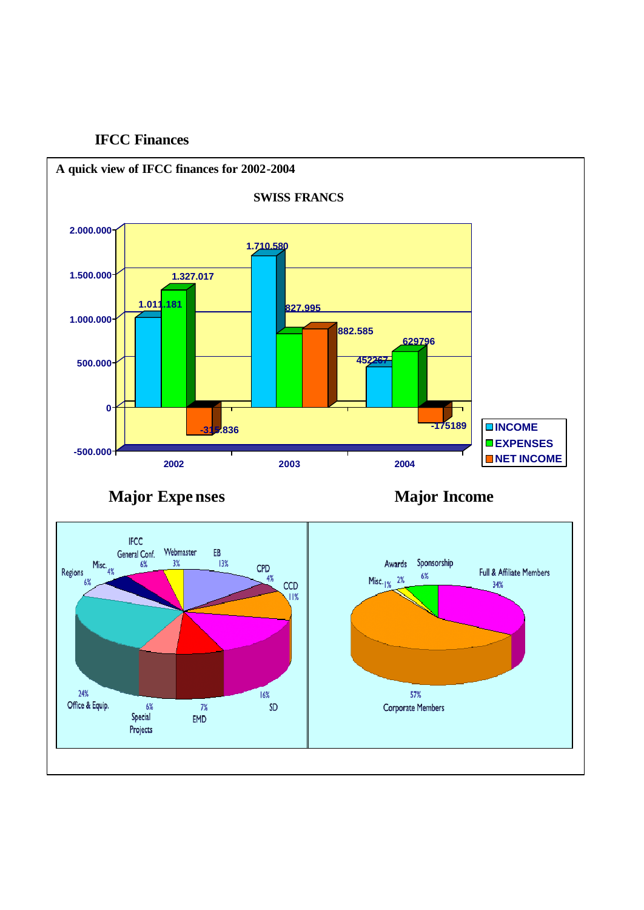# **IFCC Finances**

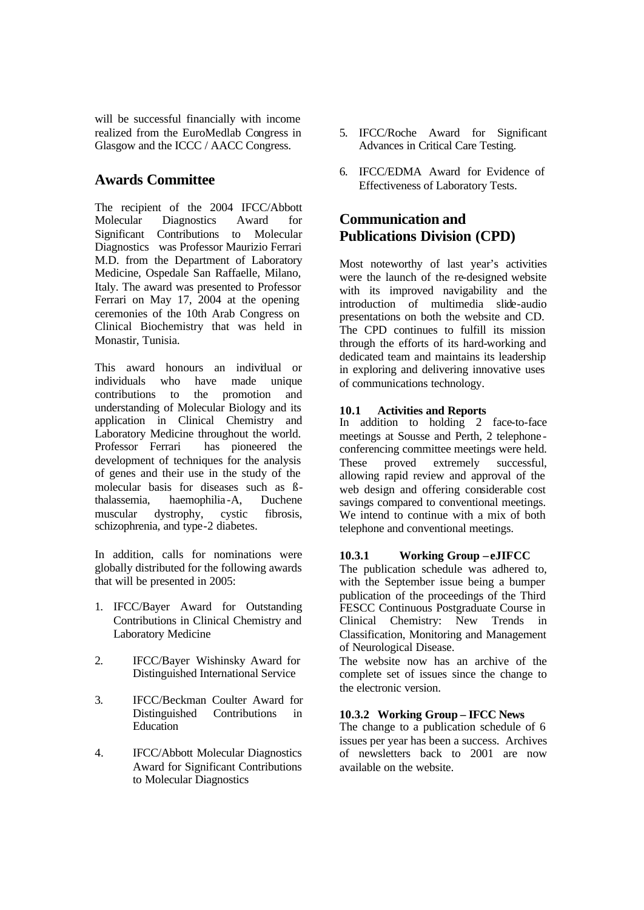will be successful financially with income realized from the EuroMedlab Congress in Glasgow and the ICCC / AACC Congress.

# **Awards Committee**

The recipient of the 2004 IFCC/Abbott Molecular Diagnostics Award for Significant Contributions to Molecular Diagnosticswas Professor Maurizio Ferrari M.D. from the Department of Laboratory Medicine, Ospedale San Raffaelle, Milano, Italy. The award was presented to Professor Ferrari on May 17, 2004 at the opening ceremonies of the 10th Arab Congress on Clinical Biochemistry that was held in Monastir, Tunisia

This award honours an individual or individuals who have made unique contributions to the promotion and understanding of Molecular Biology and its application in Clinical Chemistry and Laboratory Medicine throughout the world.<br>Professor Ferrari has pioneered the has pioneered the development of techniques for the analysis of genes and their use in the study of the molecular basis for diseases such as ßthalassemia, haemophilia -A, Duchene muscular dystrophy, cystic fibrosis, schizophrenia, and type-2 diabetes.

In addition, calls for nominations were globally distributed for the following awards that will be presented in 2005:

- 1. IFCC/Bayer Award for Outstanding Contributions in Clinical Chemistry and Laboratory Medicine
- 2. IFCC/Bayer Wishinsky Award for Distinguished International Service
- 3. IFCC/Beckman Coulter Award for Distinguished Contributions in Education
- 4. IFCC/Abbott Molecular Diagnostics Award for Significant Contributions to Molecular Diagnostics
- 5. IFCC/Roche Award for Significant Advances in Critical Care Testing.
- 6. IFCC/EDMA Award for Evidence of Effectiveness of Laboratory Tests.

# **Communication and Publications Division (CPD)**

Most noteworthy of last year's activities were the launch of the re-designed website with its improved navigability and the introduction of multimedia slide-audio presentations on both the website and CD. The CPD continues to fulfill its mission through the efforts of its hard-working and dedicated team and maintains its leadership in exploring and delivering innovative uses of communications technology.

# **10.1 Activities and Reports**

In addition to holding 2 face-to-face meetings at Sousse and Perth, 2 telephone conferencing committee meetings were held. These proved extremely successful, allowing rapid review and approval of the web design and offering considerable cost savings compared to conventional meetings. We intend to continue with a mix of both telephone and conventional meetings.

# **10.3.1 Working Group – eJIFCC**

The publication schedule was adhered to, with the September issue being a bumper publication of the proceedings of the Third FESCC Continuous Postgraduate Course in Clinical Chemistry: New Trends in Classification, Monitoring and Management of Neurological Disease.

The website now has an archive of the complete set of issues since the change to the electronic version.

# **10.3.2 Working Group – IFCC News**

The change to a publication schedule of 6 issues per year has been a success. Archives of newsletters back to 2001 are now available on the website.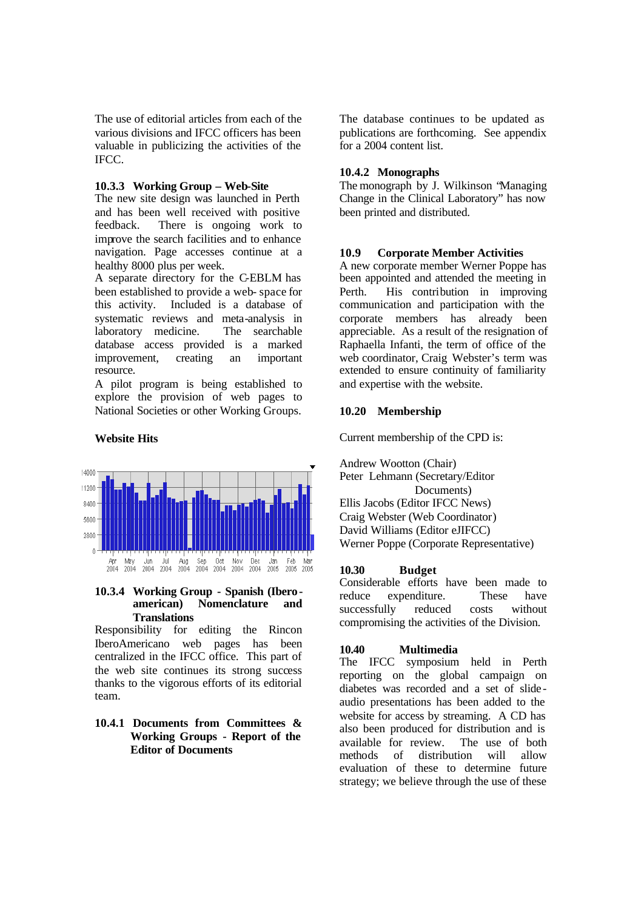The use of editorial articles from each of the various divisions and IFCC officers has been valuable in publicizing the activities of the IFCC.

#### **10.3.3 Working Group – Web-Site**

The new site design was launched in Perth and has been well received with positive feedback. There is ongoing work to improve the search facilities and to enhance navigation. Page accesses continue at a healthy 8000 plus per week.

A separate directory for the C-EBLM has been established to provide a web- space for this activity. Included is a database of systematic reviews and meta-analysis in laboratory medicine. The searchable database access provided is a marked improvement, creating an important resource.

A pilot program is being established to explore the provision of web pages to National Societies or other Working Groups.

# **Website Hits**



#### **10.3.4 Working Group - Spanish (Iberoamerican) Nomenclature and Translations**

Responsibility for editing the Rincon IberoAmericano web pages has been centralized in the IFCC office. This part of the web site continues its strong success thanks to the vigorous efforts of its editorial team.

#### **10.4.1 Documents from Committees & Working Groups - Report of the Editor of Documents**

The database continues to be updated as publications are forthcoming. See appendix for a 2004 content list.

# **10.4.2 Monographs**

The monograph by J. Wilkinson "Managing Change in the Clinical Laboratory" has now been printed and distributed.

# **10.9 Corporate Member Activities**

A new corporate member Werner Poppe has been appointed and attended the meeting in Perth. His contribution in improving communication and participation with the corporate members has already been appreciable. As a result of the resignation of Raphaella Infanti, the term of office of the web coordinator, Craig Webster's term was extended to ensure continuity of familiarity and expertise with the website.

# **10.20 Membership**

Current membership of the CPD is:

Andrew Wootton (Chair) Peter Lehmann (Secretary/Editor Documents) Ellis Jacobs (Editor IFCC News) Craig Webster (Web Coordinator) David Williams (Editor eJIFCC) Werner Poppe (Corporate Representative)

# **10.30 Budget**

Considerable efforts have been made to reduce expenditure. These have successfully reduced costs without compromising the activities of the Division.

# **10.40 Multimedia**

symposium held in Perth reporting on the global campaign on diabetes was recorded and a set of slide audio presentations has been added to the website for access by streaming. A CD has also been produced for distribution and is available for review. The use of both methods of distribution will allow evaluation of these to determine future strategy; we believe through the use of these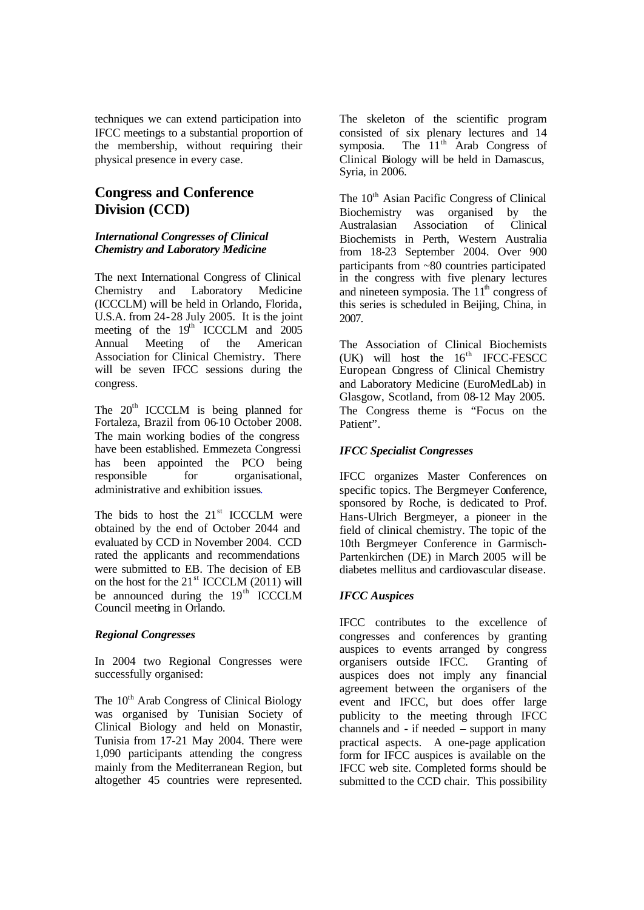techniques we can extend participation into IFCC meetings to a substantial proportion of the membership, without requiring their physical presence in every case.

# **Congress and Conference Division (CCD)**

# *International Congresses of Clinical Chemistry and Laboratory Medicine*

The next International Congress of Clinical Chemistry and Laboratory Medicine (ICCCLM) will be held in Orlando, Florida, U.S.A. from 24-28 July 2005. It is the joint meeting of the  $19<sup>th</sup>$  ICCCLM and  $2005$ Annual Meeting of the American Association for Clinical Chemistry. There will be seven IFCC sessions during the congress.

The  $20<sup>th</sup>$  ICCCLM is being planned for Fortaleza, Brazil from 06-10 October 2008. The main working bodies of the congress have been established. Emmezeta Congressi has been appointed the PCO being responsible for organisational, administrative and exhibition issues.

The bids to host the  $21<sup>st</sup>$  ICCCLM were obtained by the end of October 2044 and evaluated by CCD in November 2004. CCD rated the applicants and recommendations were submitted to EB. The decision of EB on the host for the 21<sup>st</sup> ICCCLM (2011) will be announced during the  $19<sup>th</sup>$  ICCCLM Council meeting in Orlando.

# *Regional Congresses*

In 2004 two Regional Congresses were successfully organised:

The 10<sup>th</sup> Arab Congress of Clinical Biology was organised by Tunisian Society of Clinical Biology and held on Monastir, Tunisia from 17-21 May 2004. There were 1,090 participants attending the congress mainly from the Mediterranean Region, but altogether 45 countries were represented. The skeleton of the scientific program consisted of six plenary lectures and 14 symposia. The  $11<sup>th</sup>$  Arab Congress of Clinical Biology will be held in Damascus, Syria, in 2006.

The 10<sup>th</sup> Asian Pacific Congress of Clinical Biochemistry was organised by the Australasian Association of Clinical Biochemists in Perth, Western Australia from 18-23 September 2004. Over 900 participants from ~80 countries participated in the congress with five plenary lectures and nineteen symposia. The  $11<sup>th</sup>$  congress of this series is scheduled in Beijing, China, in 2007.

The Association of Clinical Biochemists (UK) will host the  $16^{th}$  IFCC-FESCC European Congress of Clinical Chemistry and Laboratory Medicine (EuroMedLab) in Glasgow, Scotland, from 08-12 May 2005. The Congress theme is "Focus on the Patient".

# *IFCC Specialist Congresses*

IFCC organizes Master Conferences on specific topics. The Bergmeyer Conference, sponsored by Roche, is dedicated to Prof. Hans-Ulrich Bergmeyer, a pioneer in the field of clinical chemistry. The topic of the 10th Bergmeyer Conference in Garmisch-Partenkirchen (DE) in March 2005 will be diabetes mellitus and cardiovascular disease.

# *IFCC Auspices*

IFCC contributes to the excellence of congresses and conferences by granting auspices to events arranged by congress organisers outside IFCC. Granting of auspices does not imply any financial agreement between the organisers of the event and IFCC, but does offer large publicity to the meeting through IFCC channels and - if needed – support in many practical aspects. A one-page application form for IFCC auspices is available on the IFCC web site. Completed forms should be submitted to the CCD chair. This possibility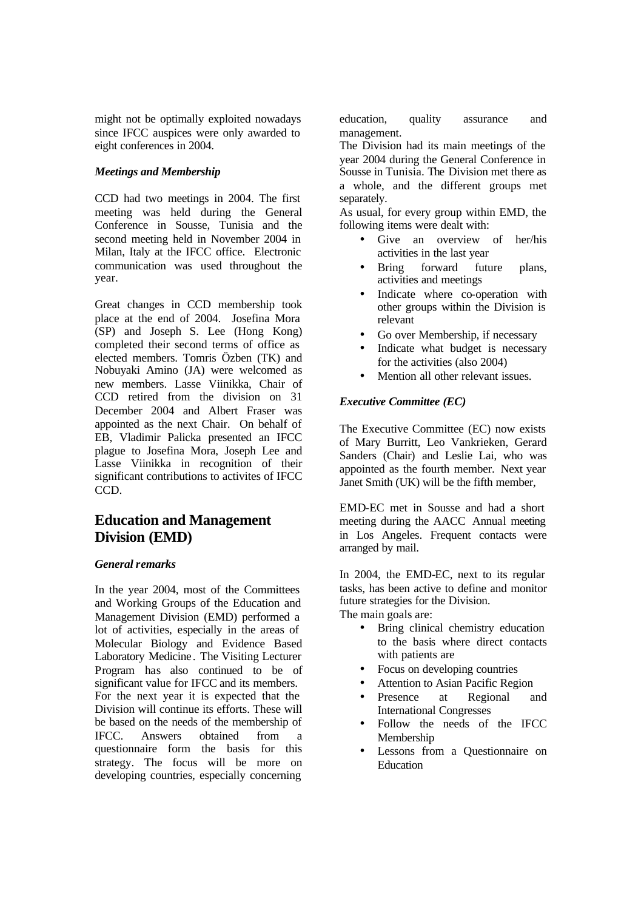might not be optimally exploited nowadays since IFCC auspices were only awarded to eight conferences in 2004.

# *Meetings and Membership*

CCD had two meetings in 2004. The first meeting was held during the General Conference in Sousse, Tunisia and the second meeting held in November 2004 in Milan, Italy at the IFCC office. Electronic communication was used throughout the year.

Great changes in CCD membership took place at the end of 2004. Josefina Mora (SP) and Joseph S. Lee (Hong Kong) completed their second terms of office as elected members. Tomris Özben (TK) and Nobuyaki Amino (JA) were welcomed as new members. Lasse Viinikka, Chair of CCD retired from the division on 31 December 2004 and Albert Fraser was appointed as the next Chair. On behalf of EB, Vladimir Palicka presented an IFCC plague to Josefina Mora, Joseph Lee and Lasse Viinikka in recognition of their significant contributions to activites of IFCC CCD.

# **Education and Management Division (EMD)**

# *General remarks*

In the year 2004, most of the Committees and Working Groups of the Education and Management Division (EMD) performed a lot of activities, especially in the areas of Molecular Biology and Evidence Based Laboratory Medicine . The Visiting Lecturer Program has also continued to be of significant value for IFCC and its members. For the next year it is expected that the Division will continue its efforts. These will be based on the needs of the membership of IFCC. Answers obtained from a questionnaire form the basis for this strategy. The focus will be more on developing countries, especially concerning

education, quality assurance and management.

The Division had its main meetings of the year 2004 during the General Conference in Sousse in Tunisia. The Division met there as a whole, and the different groups met separately.

As usual, for every group within EMD, the following items were dealt with:

- Give an overview of her/his activities in the last year
- Bring forward future plans, activities and meetings
- Indicate where co-operation with other groups within the Division is relevant
- Go over Membership, if necessary
- Indicate what budget is necessary for the activities (also 2004)
- Mention all other relevant issues.

# *Executive Committee (EC)*

The Executive Committee (EC) now exists of Mary Burritt, Leo Vankrieken, Gerard Sanders (Chair) and Leslie Lai, who was appointed as the fourth member. Next year Janet Smith (UK) will be the fifth member,

EMD-EC met in Sousse and had a short meeting during the AACC Annual meeting in Los Angeles. Frequent contacts were arranged by mail.

In 2004, the EMD-EC, next to its regular tasks, has been active to define and monitor future strategies for the Division.

The main goals are:

- Bring clinical chemistry education to the basis where direct contacts with patients are
- Focus on developing countries
- Attention to Asian Pacific Region
- Presence at Regional and International Congresses
- Follow the needs of the IFCC Membership
- Lessons from a Questionnaire on Education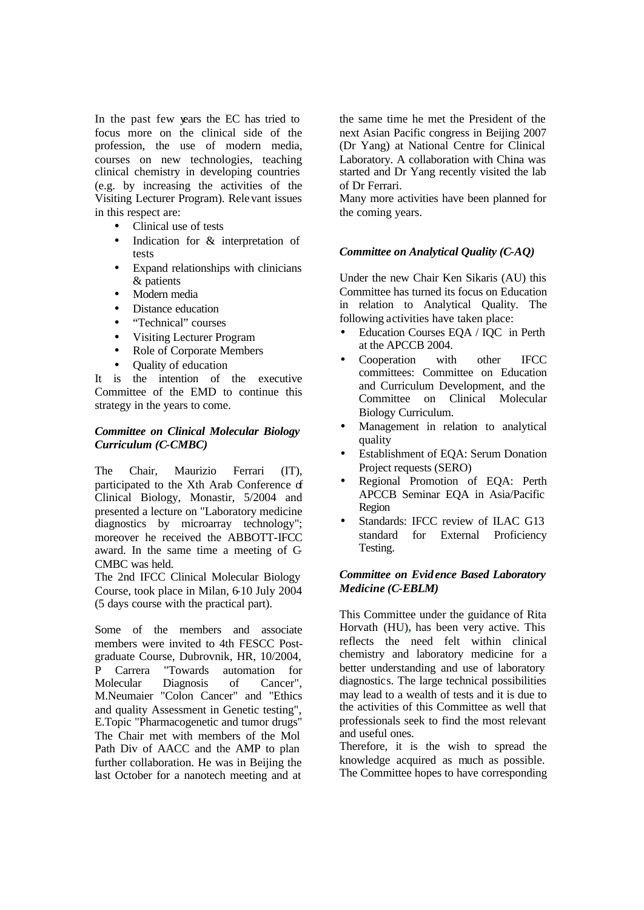In the past few years the EC has tried to focus more on the clinical side of the profession, the use of modern media, courses on new technologies, teaching clinical chemistry in developing countries (e.g. by increasing the activities of the Visiting Lecturer Program). Rele vant issues in this respect are:

- Clinical use of tests
- Indication for  $\&$  interpretation of tests
- Expand relationships with clinicians & patients
- Modern media
- Distance education
- "Technical" courses
- Visiting Lecturer Program
- Role of Corporate Members
- Quality of education

It is the intention of the executive Committee of the EMD to continue this strategy in the years to come.

#### *Committee on Clinical Molecular Biology Curriculum (C-CMBC)*

The Chair, Maurizio Ferrari (IT), participated to the Xth Arab Conference of Clinical Biology, Monastir, 5/2004 and presented a lecture on "Laboratory medicine diagnostics by microarray technology"; moreover he received the ABBOTT-IFCC award. In the same time a meeting of C-CMBC was held.

The 2nd IFCC Clinical Molecular Biology Course, took place in Milan, 6-10 July 2004 (5 days course with the practical part).

Some of the members and associate members were invited to 4th FESCC Postgraduate Course, Dubrovnik, HR, 10/2004, P Carrera "Towards automation for Molecular Diagnosis of Cancer", M.Neumaier "Colon Cancer" and "Ethics and quality Assessment in Genetic testing", E.Topic "Pharmacogenetic and tumor drugs" The Chair met with members of the Mol Path Div of AACC and the AMP to plan further collaboration. He was in Beijing the last October for a nanotech meeting and at

the same time he met the President of the next Asian Pacific congress in Beijing 2007 (Dr Yang) at National Centre for Clinical Laboratory. A collaboration with China was started and Dr Yang recently visited the lab of Dr Ferrari.

Many more activities have been planned for the coming years.

#### *Committee on Analytical Quality (C-AQ)*

Under the new Chair Ken Sikaris (AU) this Committee has turned its focus on Education in relation to Analytical Quality. The following activities have taken place:

- Education Courses EQA / IQC in Perth at the APCCB 2004.
- Cooperation with other IFCC committees: Committee on Education and Curriculum Development, and the Committee on Clinical Molecular Biology Curriculum.
- Management in relation to analytical quality
- Establishment of EQA: Serum Donation Project requests (SERO)
- Regional Promotion of EQA: Perth APCCB Seminar EQA in Asia/Pacific Region
- Standards: IFCC review of ILAC G13 standard for External Proficiency Testing.

#### *Committee on Evid ence Based Laboratory Medicine (C-EBLM)*

This Committee under the guidance of Rita Horvath (HU)**,** has been very active. This reflects the need felt within clinical chemistry and laboratory medicine for a better understanding and use of laboratory diagnostics. The large technical possibilities may lead to a wealth of tests and it is due to the activities of this Committee as well that professionals seek to find the most relevant and useful ones.

Therefore, it is the wish to spread the knowledge acquired as much as possible. The Committee hopes to have corresponding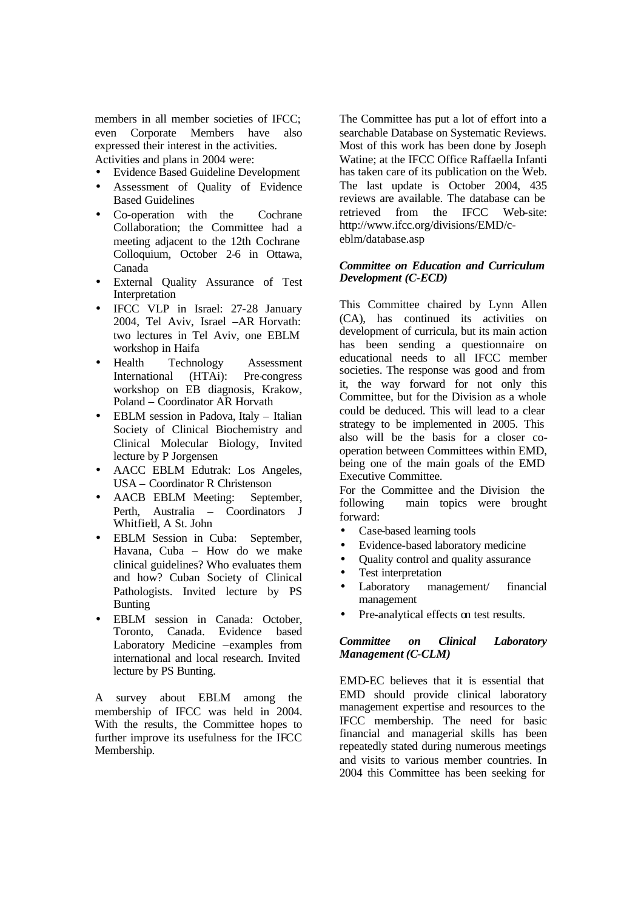members in all member societies of IFCC; even Corporate Members have also expressed their interest in the activities. Activities and plans in 2004 were:

- Evidence Based Guideline Development
- Assessment of Quality of Evidence Based Guidelines
- Co-operation with the Cochrane Collaboration; the Committee had a meeting adjacent to the 12th Cochrane Colloquium, October 2-6 in Ottawa, Canada
- External Quality Assurance of Test Interpretation
- IFCC VLP in Israel: 27-28 January 2004, Tel Aviv, Israel –AR Horvath: two lectures in Tel Aviv, one EBLM workshop in Haifa
- Health Technology Assessment International (HTAi): Pre-congress workshop on EB diagnosis, Krakow, Poland – Coordinator AR Horvath
- EBLM session in Padova, Italy Italian Society of Clinical Biochemistry and Clinical Molecular Biology, Invited lecture by P Jorgensen
- AACC EBLM Edutrak: Los Angeles, USA – Coordinator R Christenson
- AACB EBLM Meeting: September, Perth, Australia – Coordinators J Whitfield, A St. John
- EBLM Session in Cuba: September, Havana, Cuba – How do we make clinical guidelines? Who evaluates them and how? Cuban Society of Clinical Pathologists. Invited lecture by PS Bunting
- EBLM session in Canada: October, Toronto, Canada. Evidence based Laboratory Medicine –examples from international and local research. Invited lecture by PS Bunting.

A survey about EBLM among the membership of IFCC was held in 2004. With the results, the Committee hopes to further improve its usefulness for the IFCC Membership.

The Committee has put a lot of effort into a searchable Database on Systematic Reviews. Most of this work has been done by Joseph Watine; at the IFCC Office Raffaella Infanti has taken care of its publication on the Web. The last update is October 2004, 435 reviews are available. The database can be retrieved from the IFCC Web-site: http://www.ifcc.org/divisions/EMD/ceblm/database.asp

#### *Committee on Education and Curriculum Development (C-ECD)*

This Committee chaired by Lynn Allen (CA), has continued its activities on development of curricula, but its main action has been sending a questionnaire on educational needs to all IFCC member societies. The response was good and from it, the way forward for not only this Committee, but for the Division as a whole could be deduced. This will lead to a clear strategy to be implemented in 2005. This also will be the basis for a closer cooperation between Committees within EMD, being one of the main goals of the EMD Executive Committee.

For the Committee and the Division the following main topics were brought forward:

- Case-based learning tools
- Evidence-based laboratory medicine
- Quality control and quality assurance
- Test interpretation
- Laboratory management/ financial management
- Pre-analytical effects on test results.

#### *Committee on Clinical Laboratory Management (C-CLM)*

EMD-EC believes that it is essential that EMD should provide clinical laboratory management expertise and resources to the IFCC membership. The need for basic financial and managerial skills has been repeatedly stated during numerous meetings and visits to various member countries. In 2004 this Committee has been seeking for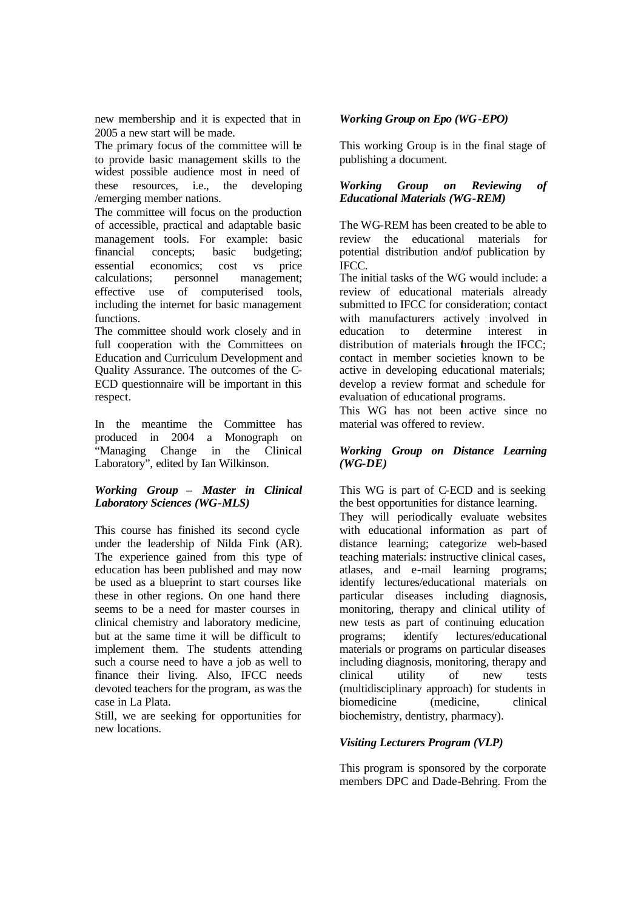new membership and it is expected that in 2005 a new start will be made.

The primary focus of the committee will be to provide basic management skills to the widest possible audience most in need of these resources, i.e., the developing /emerging member nations.

The committee will focus on the production of accessible, practical and adaptable basic management tools. For example: basic financial concepts; basic budgeting; essential economics; cost vs price calculations; personnel management; effective use of computerised tools, including the internet for basic management functions.

The committee should work closely and in full cooperation with the Committees on Education and Curriculum Development and Quality Assurance. The outcomes of the C-ECD questionnaire will be important in this respect.

In the meantime the Committee has produced in 2004 a Monograph on "Managing Change in the Clinical Laboratory", edited by Ian Wilkinson.

# *Working Group – Master in Clinical Laboratory Sciences (WG-MLS)*

This course has finished its second cycle under the leadership of Nilda Fink (AR). The experience gained from this type of education has been published and may now be used as a blueprint to start courses like these in other regions. On one hand there seems to be a need for master courses in clinical chemistry and laboratory medicine, but at the same time it will be difficult to implement them. The students attending such a course need to have a job as well to finance their living. Also, IFCC needs devoted teachers for the program, as was the case in La Plata.

Still, we are seeking for opportunities for new locations.

# *Working Group on Epo (WG-EPO)*

This working Group is in the final stage of publishing a document.

#### *Working Group on Reviewing of Educational Materials (WG-REM)*

The WG-REM has been created to be able to review the educational materials for potential distribution and/of publication by IFCC.

The initial tasks of the WG would include: a review of educational materials already submitted to IFCC for consideration; contact with manufacturers actively involved in education to determine interest in distribution of materials **hrough** the IFCC: contact in member societies known to be active in developing educational materials; develop a review format and schedule for evaluation of educational programs.

This WG has not been active since no material was offered to review.

# *Working Group on Distance Learning (WG-DE)*

This WG is part of C-ECD and is seeking the best opportunities for distance learning.

They will periodically evaluate websites with educational information as part of distance learning; categorize web-based teaching materials: instructive clinical cases, atlases, and e-mail learning programs; identify lectures/educational materials on particular diseases including diagnosis, monitoring, therapy and clinical utility of new tests as part of continuing education programs; identify lectures/educational materials or programs on particular diseases including diagnosis, monitoring, therapy and clinical utility of new tests (multidisciplinary approach) for students in biomedicine (medicine, clinical biochemistry, dentistry, pharmacy).

# *Visiting Lecturers Program (VLP)*

This program is sponsored by the corporate members DPC and Dade-Behring. From the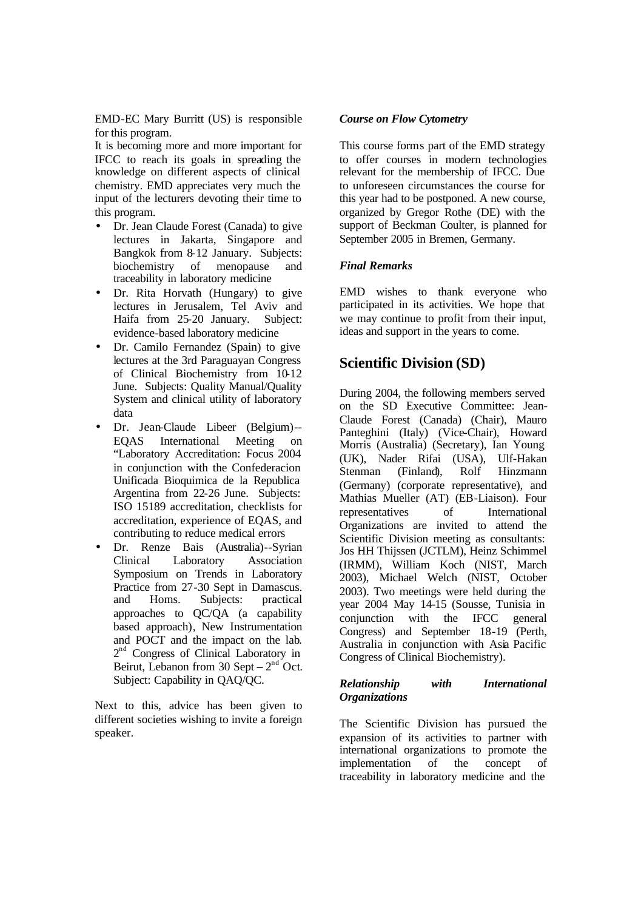EMD-EC Mary Burritt (US) is responsible for this program.

It is becoming more and more important for IFCC to reach its goals in spreading the knowledge on different aspects of clinical chemistry. EMD appreciates very much the input of the lecturers devoting their time to this program.

- Dr. Jean Claude Forest (Canada) to give lectures in Jakarta, Singapore and Bangkok from 8-12 January. Subjects: biochemistry of menopause and traceability in laboratory medicine
- Dr. Rita Horvath (Hungary) to give lectures in Jerusalem, Tel Aviv and Haifa from 25-20 January. Subject: evidence-based laboratory medicine
- Dr. Camilo Fernandez (Spain) to give lectures at the 3rd Paraguayan Congress of Clinical Biochemistry from 10-12 June. Subjects: Quality Manual/Quality System and clinical utility of laboratory data
- Dr. Jean-Claude Libeer (Belgium)-- EQAS International Meeting on "Laboratory Accreditation: Focus 2004 in conjunction with the Confederacion Unificada Bioquimica de la Republica Argentina from 22-26 June. Subjects: ISO 15189 accreditation, checklists for accreditation, experience of EQAS, and contributing to reduce medical errors
- Dr. Renze Bais (Australia)--Syrian Clinical Laboratory Association Symposium on Trends in Laboratory Practice from 27-30 Sept in Damascus. and Homs. Subjects: practical approaches to QC/QA (a capability based approach), New Instrumentation and POCT and the impact on the lab. 2<sup>nd</sup> Congress of Clinical Laboratory in Beirut, Lebanon from 30 Sept –  $2<sup>nd</sup>$  Oct. Subject: Capability in QAQ/QC.

Next to this, advice has been given to different societies wishing to invite a foreign speaker.

# *Course on Flow Cytometry*

This course forms part of the EMD strategy to offer courses in modern technologies relevant for the membership of IFCC. Due to unforeseen circumstances the course for this year had to be postponed. A new course, organized by Gregor Rothe (DE) with the support of Beckman Coulter, is planned for September 2005 in Bremen, Germany.

# *Final Remarks*

EMD wishes to thank everyone who participated in its activities. We hope that we may continue to profit from their input, ideas and support in the years to come.

# **Scientific Division (SD)**

During 2004, the following members served on the SD Executive Committee: Jean-Claude Forest (Canada) (Chair), Mauro Panteghini (Italy) (Vice-Chair), Howard Morris (Australia) (Secretary), Ian Young (UK), Nader Rifai (USA), Ulf-Hakan Stenman (Finland), Rolf Hinzmann (Germany) (corporate representative), and Mathias Mueller (AT) (EB-Liaison). Four representatives of International Organizations are invited to attend the Scientific Division meeting as consultants: Jos HH Thijssen (JCTLM), Heinz Schimmel (IRMM), William Koch (NIST, March 2003), Michael Welch (NIST, October 2003). Two meetings were held during the year 2004 May 14-15 (Sousse, Tunisia in conjunction with the IFCC general Congress) and September 18-19 (Perth, Australia in conjunction with Asia Pacific Congress of Clinical Biochemistry).

#### *Relationship with International Organizations*

The Scientific Division has pursued the expansion of its activities to partner with international organizations to promote the implementation of the concept of traceability in laboratory medicine and the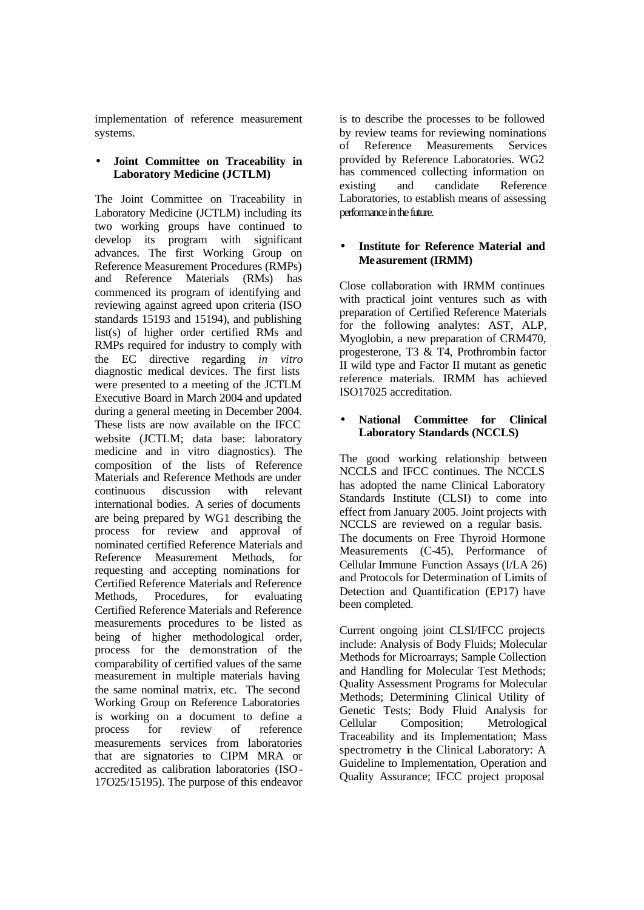implementation of reference measurement systems.

#### • **Joint Committee on Traceability in Laboratory Medicine (JCTLM)**

The Joint Committee on Traceability in Laboratory Medicine (JCTLM) including its two working groups have continued to develop its program with significant advances. The first Working Group on Reference Measurement Procedures (RMPs) and Reference Materials (RMs) has commenced its program of identifying and reviewing against agreed upon criteria (ISO standards 15193 and 15194), and publishing list(s) of higher order certified RMs and RMPs required for industry to comply with the EC directive regarding *in vitro* diagnostic medical devices. The first lists were presented to a meeting of the JCTLM Executive Board in March 2004 and updated during a general meeting in December 2004. These lists are now available on the IFCC website (JCTLM; data base: laboratory medicine and in vitro diagnostics). The composition of the lists of Reference Materials and Reference Methods are under continuous discussion with relevant international bodies. A series of documents are being prepared by WG1 describing the process for review and approval of nominated certified Reference Materials and Reference Measurement Methods, for requesting and accepting nominations for Certified Reference Materials and Reference Methods, Procedures, for evaluating Certified Reference Materials and Reference measurements procedures to be listed as being of higher methodological order, process for the demonstration of the comparability of certified values of the same measurement in multiple materials having the same nominal matrix, etc. The second Working Group on Reference Laboratories is working on a document to define a process for review of reference measurements services from laboratories that are signatories to CIPM MRA or accredited as calibration laboratories (ISO-17O25/15195). The purpose of this endeavor is to describe the processes to be followed by review teams for reviewing nominations of Reference Measurements Services provided by Reference Laboratories. WG2 has commenced collecting information on existing and candidate Reference Laboratories, to establish means of assessing performance in the future.

# • **Institute for Reference Material and Measurement (IRMM)**

Close collaboration with IRMM continues with practical joint ventures such as with preparation of Certified Reference Materials for the following analytes: AST, ALP, Myoglobin, a new preparation of CRM470, progesterone, T3 & T4, Prothrombin factor II wild type and Factor II mutant as genetic reference materials. IRMM has achieved ISO17025 accreditation.

# • **National Committee for Clinical Laboratory Standards (NCCLS)**

The good working relationship between NCCLS and IFCC continues. The NCCLS has adopted the name Clinical Laboratory Standards Institute (CLSI) to come into effect from January 2005. Joint projects with NCCLS are reviewed on a regular basis. The documents on Free Thyroid Hormone Measurements (C-45), Performance of Cellular Immune Function Assays (I/LA 26) and Protocols for Determination of Limits of Detection and Quantification (EP17) have been completed.

Current ongoing joint CLSI/IFCC projects include: Analysis of Body Fluids; Molecular Methods for Microarrays; Sample Collection and Handling for Molecular Test Methods; Quality Assessment Programs for Molecular Methods; Determining Clinical Utility of Genetic Tests; Body Fluid Analysis for Cellular Composition; Metrological Traceability and its Implementation; Mass spectrometry in the Clinical Laboratory: A Guideline to Implementation, Operation and Quality Assurance; IFCC project proposal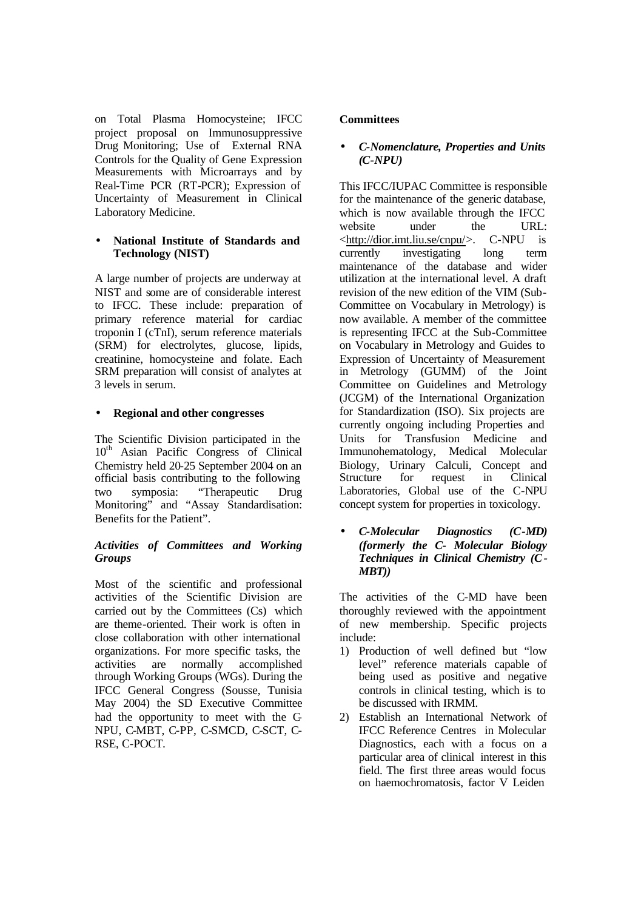on Total Plasma Homocysteine; IFCC project proposal on Immunosuppressive Drug Monitoring; Use of External RNA Controls for the Quality of Gene Expression Measurements with Microarrays and by Real-Time PCR (RT-PCR); Expression of Uncertainty of Measurement in Clinical Laboratory Medicine.

#### • **National Institute of Standards and Technology (NIST)**

A large number of projects are underway at NIST and some are of considerable interest to IFCC. These include: preparation of primary reference material for cardiac troponin I (cTnI), serum reference materials (SRM) for electrolytes, glucose, lipids, creatinine, homocysteine and folate. Each SRM preparation will consist of analytes at 3 levels in serum.

# • **Regional and other congresses**

The Scientific Division participated in the  $10<sup>th</sup>$  Asian Pacific Congress of Clinical Chemistry held 20-25 September 2004 on an official basis contributing to the following two symposia: "Therapeutic Drug Monitoring" and "Assay Standardisation: Benefits for the Patient".

# *Activities of Committees and Working Groups*

Most of the scientific and professional activities of the Scientific Division are carried out by the Committees (Cs) which are theme-oriented. Their work is often in close collaboration with other international organizations. For more specific tasks, the activities are normally accomplished through Working Groups (WGs). During the IFCC General Congress (Sousse, Tunisia May 2004) the SD Executive Committee had the opportunity to meet with the C-NPU, C-MBT, C-PP, C-SMCD, C-SCT, C-RSE, C-POCT.

# **Committees**

# • *C-Nomenclature, Properties and Units (C-NPU)*

This IFCC/IUPAC Committee is responsible for the maintenance of the generic database, which is now available through the IFCC website under the URL: <http://dior.imt.liu.se/cnpu/>. C-NPU is currently investigating long term maintenance of the database and wider utilization at the international level. A draft revision of the new edition of the VIM (Sub-Committee on Vocabulary in Metrology) is now available. A member of the committee is representing IFCC at the Sub-Committee on Vocabulary in Metrology and Guides to Expression of Uncertainty of Measurement in Metrology (GUMM) of the Joint Committee on Guidelines and Metrology (JCGM) of the International Organization for Standardization (ISO). Six projects are currently ongoing including Properties and Units for Transfusion Medicine and Immunohematology, Medical Molecular Biology, Urinary Calculi, Concept and Structure for request in Clinical Laboratories, Global use of the C-NPU concept system for properties in toxicology.

• *C-Molecular Diagnostics (C-MD) (formerly the C- Molecular Biology Techniques in Clinical Chemistry (C-MBT))*

The activities of the C-MD have been thoroughly reviewed with the appointment of new membership. Specific projects include:

- 1) Production of well defined but "low level" reference materials capable of being used as positive and negative controls in clinical testing, which is to be discussed with IRMM.
- 2) Establish an International Network of IFCC Reference Centres in Molecular Diagnostics, each with a focus on a particular area of clinical interest in this field. The first three areas would focus on haemochromatosis, factor V Leiden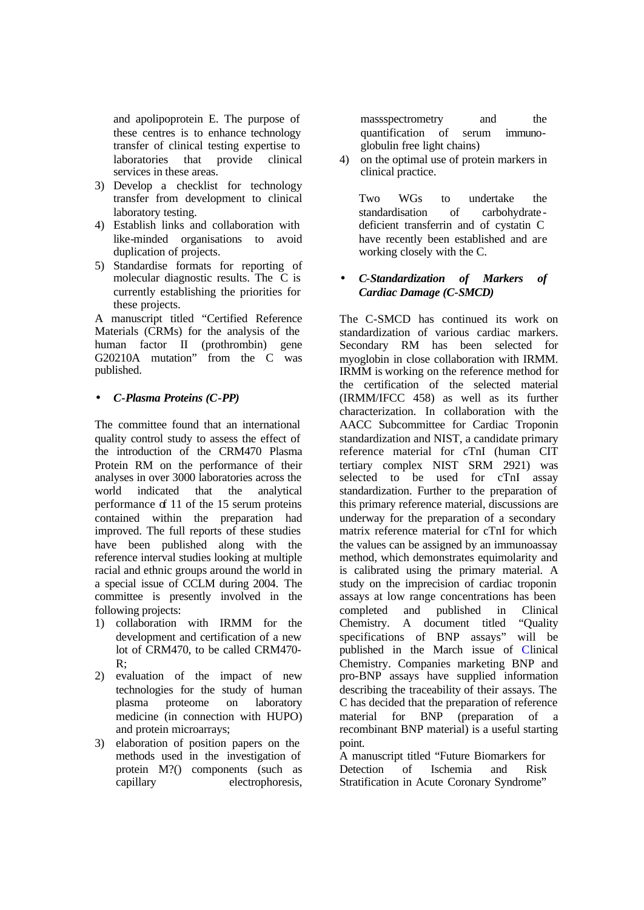and apolipoprotein E. The purpose of these centres is to enhance technology transfer of clinical testing expertise to laboratories that provide clinical services in these areas.

- 3) Develop a checklist for technology transfer from development to clinical laboratory testing.
- 4) Establish links and collaboration with like-minded organisations to avoid duplication of projects.
- 5) Standardise formats for reporting of molecular diagnostic results. The C is currently establishing the priorities for these projects.

A manuscript titled "Certified Reference Materials (CRMs) for the analysis of the human factor II (prothrombin) gene G20210A mutation" from the C was published.

# • *C-Plasma Proteins (C-PP)*

The committee found that an international quality control study to assess the effect of the introduction of the CRM470 Plasma Protein RM on the performance of their analyses in over 3000 laboratories across the world indicated that the analytical performance of 11 of the 15 serum proteins contained within the preparation had improved. The full reports of these studies have been published along with the reference interval studies looking at multiple racial and ethnic groups around the world in a special issue of CCLM during 2004. The committee is presently involved in the following projects:

- 1) collaboration with IRMM for the development and certification of a new lot of CRM470, to be called CRM470- R;
- 2) evaluation of the impact of new technologies for the study of human plasma proteome on laboratory medicine (in connection with HUPO) and protein microarrays;
- 3) elaboration of position papers on the methods used in the investigation of protein M?() components (such as capillary electrophoresis,

massspectrometry and the quantification of serum immunoglobulin free light chains)

4) on the optimal use of protein markers in clinical practice.

Two WGs to undertake the standardisation of carbohydrate deficient transferrin and of cystatin C have recently been established and are working closely with the C.

# • *C-Standardization of Markers of Cardiac Damage (C-SMCD)*

The C-SMCD has continued its work on standardization of various cardiac markers. Secondary RM has been selected for myoglobin in close collaboration with IRMM. IRMM is working on the reference method for the certification of the selected material (IRMM/IFCC 458) as well as its further characterization. In collaboration with the AACC Subcommittee for Cardiac Troponin standardization and NIST, a candidate primary reference material for cTnI (human CIT tertiary complex NIST SRM 2921) was selected to be used for cTnI assay standardization. Further to the preparation of this primary reference material, discussions are underway for the preparation of a secondary matrix reference material for cTnI for which the values can be assigned by an immunoassay method, which demonstrates equimolarity and is calibrated using the primary material. A study on the imprecision of cardiac troponin assays at low range concentrations has been completed and published in Clinical Chemistry. A document titled "Quality specifications of BNP assays" will be published in the March issue of Clinical Chemistry. Companies marketing BNP and pro-BNP assays have supplied information describing the traceability of their assays. The C has decided that the preparation of reference material for BNP (preparation of a recombinant BNP material) is a useful starting point.

A manuscript titled "Future Biomarkers for Detection of Ischemia and Risk Stratification in Acute Coronary Syndrome"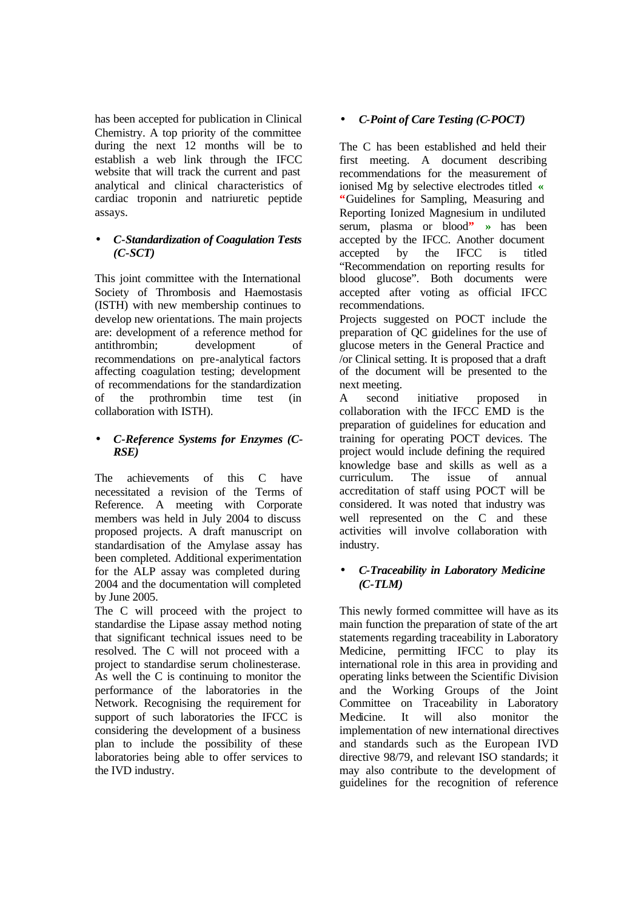has been accepted for publication in Clinical Chemistry. A top priority of the committee during the next 12 months will be to establish a web link through the IFCC website that will track the current and past analytical and clinical characteristics of cardiac troponin and natriuretic peptide assays.

# • *C-Standardization of Coagulation Tests (C-SCT)*

This joint committee with the International Society of Thrombosis and Haemostasis (ISTH) with new membership continues to develop new orientations. The main projects are: development of a reference method for antithrombin; development of recommendations on pre-analytical factors affecting coagulation testing; development of recommendations for the standardization of the prothrombin time test (in collaboration with ISTH).

# • *C-Reference Systems for Enzymes (C-RSE)*

The achievements of this C have necessitated a revision of the Terms of Reference. A meeting with Corporate members was held in July 2004 to discuss proposed projects. A draft manuscript on standardisation of the Amylase assay has been completed. Additional experimentation for the ALP assay was completed during 2004 and the documentation will completed by June 2005.

The C will proceed with the project to standardise the Lipase assay method noting that significant technical issues need to be resolved. The C will not proceed with a project to standardise serum cholinesterase. As well the C is continuing to monitor the performance of the laboratories in the Network. Recognising the requirement for support of such laboratories the IFCC is considering the development of a business plan to include the possibility of these laboratories being able to offer services to the IVD industry.

# • *C-Point of Care Testing (C-POCT)*

The C has been established and held their first meeting. A document describing recommendations for the measurement of ionised Mg by selective electrodes titled **« "**Guidelines for Sampling, Measuring and Reporting Ionized Magnesium in undiluted serum, plasma or blood**" »** has been accepted by the IFCC. Another document accepted by the IFCC is titled "Recommendation on reporting results for blood glucose". Both documents were accepted after voting as official IFCC recommendations.

Projects suggested on POCT include the preparation of QC guidelines for the use of glucose meters in the General Practice and /or Clinical setting. It is proposed that a draft of the document will be presented to the next meeting.

A second initiative proposed in collaboration with the IFCC EMD is the preparation of guidelines for education and training for operating POCT devices. The project would include defining the required knowledge base and skills as well as a curriculum. The issue of annual accreditation of staff using POCT will be considered. It was noted that industry was well represented on the C and these activities will involve collaboration with industry.

# • *C-Traceability in Laboratory Medicine (C-TLM)*

This newly formed committee will have as its main function the preparation of state of the art statements regarding traceability in Laboratory Medicine, permitting IFCC to play its international role in this area in providing and operating links between the Scientific Division and the Working Groups of the Joint Committee on Traceability in Laboratory Medicine. It will also monitor the implementation of new international directives and standards such as the European IVD directive 98/79, and relevant ISO standards; it may also contribute to the development of guidelines for the recognition of reference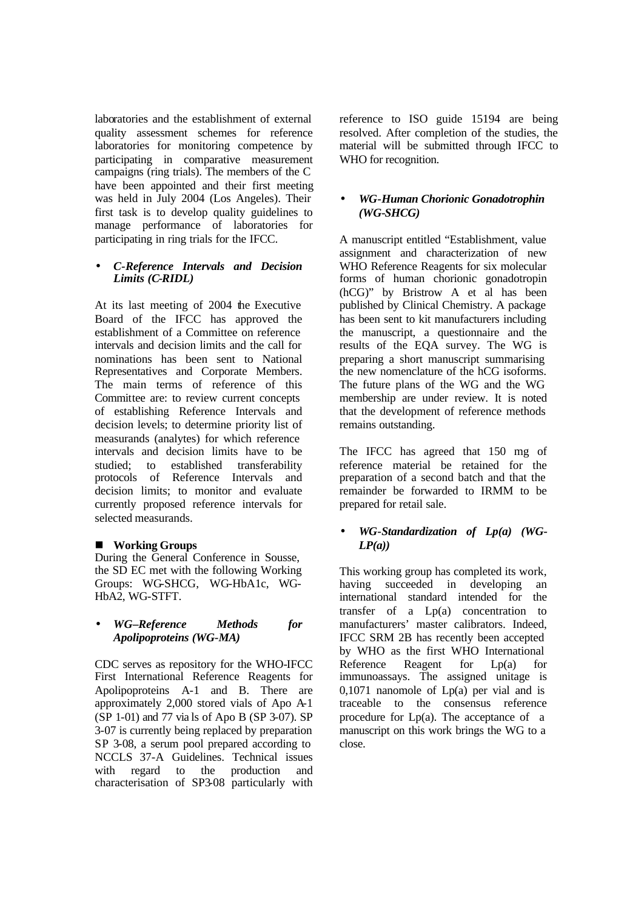laboratories and the establishment of external quality assessment schemes for reference laboratories for monitoring competence by participating in comparative measurement campaigns (ring trials). The members of the C have been appointed and their first meeting was held in July 2004 (Los Angeles). Their first task is to develop quality guidelines to manage performance of laboratories for participating in ring trials for the IFCC.

#### • *C-Reference Intervals and Decision Limits (C-RIDL)*

At its last meeting of 2004 the Executive Board of the IFCC has approved the establishment of a Committee on reference intervals and decision limits and the call for nominations has been sent to National Representatives and Corporate Members. The main terms of reference of this Committee are: to review current concepts of establishing Reference Intervals and decision levels; to determine priority list of measurands (analytes) for which reference intervals and decision limits have to be studied; to established transferability protocols of Reference Intervals and decision limits; to monitor and evaluate currently proposed reference intervals for selected measurands.

# ■ Working Groups

During the General Conference in Sousse, the SD EC met with the following Working Groups: WG-SHCG, WG-HbA1c, WG-HbA2, WG-STFT.

# • *WG–Reference Methods for Apolipoproteins (WG-MA)*

CDC serves as repository for the WHO-IFCC First International Reference Reagents for Apolipoproteins A-1 and B. There are approximately 2,000 stored vials of Apo A-1 (SP 1-01) and 77 via ls of Apo B (SP 3-07). SP 3-07 is currently being replaced by preparation SP 3-08, a serum pool prepared according to NCCLS 37-A Guidelines. Technical issues with regard to the production and characterisation of SP3-08 particularly with

reference to ISO guide 15194 are being resolved. After completion of the studies, the material will be submitted through IFCC to WHO for recognition.

# • *WG-Human Chorionic Gonadotrophin (WG-SHCG)*

A manuscript entitled "Establishment, value assignment and characterization of new WHO Reference Reagents for six molecular forms of human chorionic gonadotropin (hCG)" by Bristrow A et al has been published by Clinical Chemistry. A package has been sent to kit manufacturers including the manuscript, a questionnaire and the results of the EQA survey. The WG is preparing a short manuscript summarising the new nomenclature of the hCG isoforms. The future plans of the WG and the WG membership are under review. It is noted that the development of reference methods remains outstanding.

The IFCC has agreed that 150 mg of reference material be retained for the preparation of a second batch and that the remainder be forwarded to IRMM to be prepared for retail sale.

# • *WG-Standardization of Lp(a) (WG-LP(a))*

This working group has completed its work, having succeeded in developing an international standard intended for the transfer of a Lp(a) concentration to manufacturers' master calibrators. Indeed, IFCC SRM 2B has recently been accepted by WHO as the first WHO International Reference Reagent for Lp(a) for immunoassays. The assigned unitage is 0,1071 nanomole of  $Lp(a)$  per vial and is traceable to the consensus reference procedure for Lp(a). The acceptance of a manuscript on this work brings the WG to a close.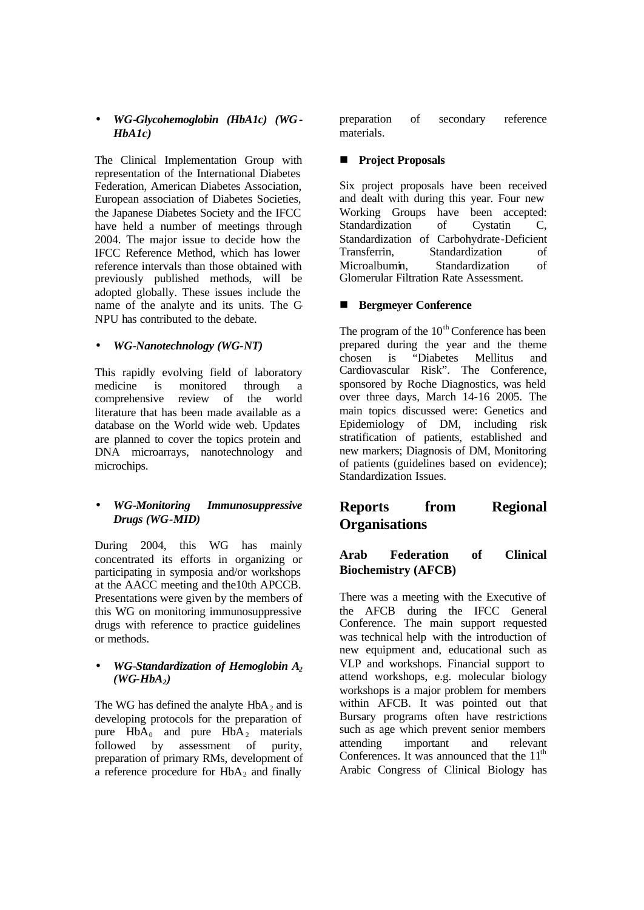# • *WG-Glycohemoglobin (HbA1c) (WG-HbA1c)*

The Clinical Implementation Group with representation of the International Diabetes Federation, American Diabetes Association, European association of Diabetes Societies, the Japanese Diabetes Society and the IFCC have held a number of meetings through 2004. The major issue to decide how the IFCC Reference Method, which has lower reference intervals than those obtained with previously published methods, will be adopted globally. These issues include the name of the analyte and its units. The C-NPU has contributed to the debate.

# • *WG-Nanotechnology (WG-NT)*

This rapidly evolving field of laboratory medicine is monitored through a comprehensive review of the world literature that has been made available as a database on the World wide web. Updates are planned to cover the topics protein and DNA microarrays, nanotechnology and microchips.

# • *WG-Monitoring Immunosuppressive Drugs (WG-MID)*

During 2004, this WG has mainly concentrated its efforts in organizing or participating in symposia and/or workshops at the AACC meeting and the10th APCCB. Presentations were given by the members of this WG on monitoring immunosuppressive drugs with reference to practice guidelines or methods.

#### • *WG-Standardization of Hemoglobin A<sup>2</sup>*  $(WG-HbA<sub>2</sub>)$

The WG has defined the analyte  $HbA_2$  and is developing protocols for the preparation of pure  $HbA_0$  and pure  $HbA_2$  materials followed by assessment of purity, preparation of primary RMs, development of a reference procedure for  $HbA_2$  and finally

preparation of secondary reference materials.

# **n Project Proposals**

Six project proposals have been received and dealt with during this year. Four new Working Groups have been accepted: Standardization of Cystatin C, Standardization of Carbohydrate-Deficient Transferrin, Standardization of Microalbumin, Standardization of Glomerular Filtration Rate Assessment.

# ■ Bergmeyer Conference

The program of the  $10<sup>th</sup>$  Conference has been prepared during the year and the theme chosen is "Diabetes Mellitus and Cardiovascular Risk". The Conference, sponsored by Roche Diagnostics, was held over three days, March 14-16 2005. The main topics discussed were: Genetics and Epidemiology of DM, including risk stratification of patients, established and new markers; Diagnosis of DM, Monitoring of patients (guidelines based on evidence); Standardization Issues.

# **Reports from Regional Organisations**

# **Arab Federation of Clinical Biochemistry (AFCB)**

There was a meeting with the Executive of the AFCB during the IFCC General Conference. The main support requested was technical help with the introduction of new equipment and, educational such as VLP and workshops. Financial support to attend workshops, e.g. molecular biology workshops is a major problem for members within AFCB. It was pointed out that Bursary programs often have restrictions such as age which prevent senior members attending important and relevant Conferences. It was announced that the  $11<sup>th</sup>$ Arabic Congress of Clinical Biology has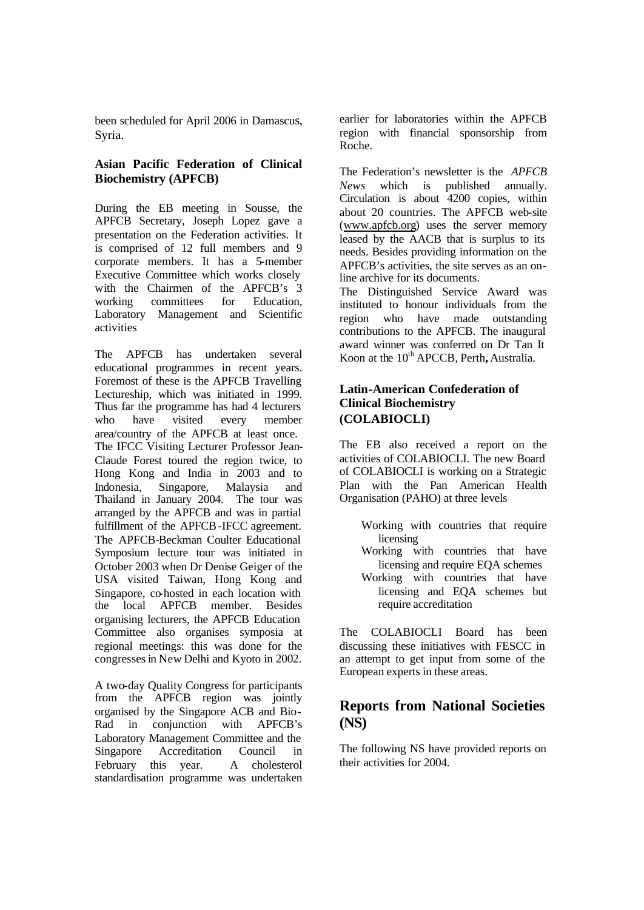been scheduled for April 2006 in Damascus, Syria.

# **Asian Pacific Federation of Clinical Biochemistry (APFCB)**

During the EB meeting in Sousse, the APFCB Secretary, Joseph Lopez gave a presentation on the Federation activities. It is comprised of 12 full members and 9 corporate members. It has a 5-member Executive Committee which works closely with the Chairmen of the APFCB's 3 working committees for Education, Laboratory Management and Scientific activities

The APFCB has undertaken several educational programmes in recent years. Foremost of these is the APFCB Travelling Lectureship, which was initiated in 1999. Thus far the programme has had 4 lecturers who have visited every member area/country of the APFCB at least once. The IFCC Visiting Lecturer Professor Jean-Claude Forest toured the region twice, to Hong Kong and India in 2003 and to Indonesia, Singapore, Malaysia and Thailand in January 2004. The tour was arranged by the APFCB and was in partial fulfillment of the APFCB-IFCC agreement. The APFCB-Beckman Coulter Educational Symposium lecture tour was initiated in October 2003 when Dr Denise Geiger of the USA visited Taiwan, Hong Kong and Singapore, co-hosted in each location with the local APFCB member. Besides organising lecturers, the APFCB Education Committee also organises symposia at regional meetings: this was done for the congresses in New Delhi and Kyoto in 2002.

A two-day Quality Congress for participants from the APFCB region was jointly organised by the Singapore ACB and Bio-Rad in conjunction with APFCB's Laboratory Management Committee and the Singapore Accreditation Council in February this year. A cholesterol standardisation programme was undertaken earlier for laboratories within the APFCB region with financial sponsorship from Roche.

The Federation's newsletter is the *APFCB News* which is published annually. Circulation is about 4200 copies, within about 20 countries. The APFCB web-site (www.apfcb.org) uses the server memory leased by the AACB that is surplus to its needs. Besides providing information on the APFCB's activities, the site serves as an online archive for its documents.

The Distinguished Service Award was instituted to honour individuals from the region who have made outstanding contributions to the APFCB. The inaugural award winner was conferred on Dr Tan It Koon at the 10<sup>th</sup> APCCB, Perth, Australia.

# **Latin-American Confederation of Clinical Biochemistry (COLABIOCLI)**

The EB also received a report on the activities of COLABIOCLI. The new Board of COLABIOCLI is working on a Strategic Plan with the Pan American Health Organisation (PAHO) at three levels

- Working with countries that require licensing
- Working with countries that have licensing and require EQA schemes Working with countries that have
- licensing and EQA schemes but require accreditation

The COLABIOCLI Board has been discussing these initiatives with FESCC in an attempt to get input from some of the European experts in these areas.

# **Reports from National Societies (NS)**

The following NS have provided reports on their activities for 2004.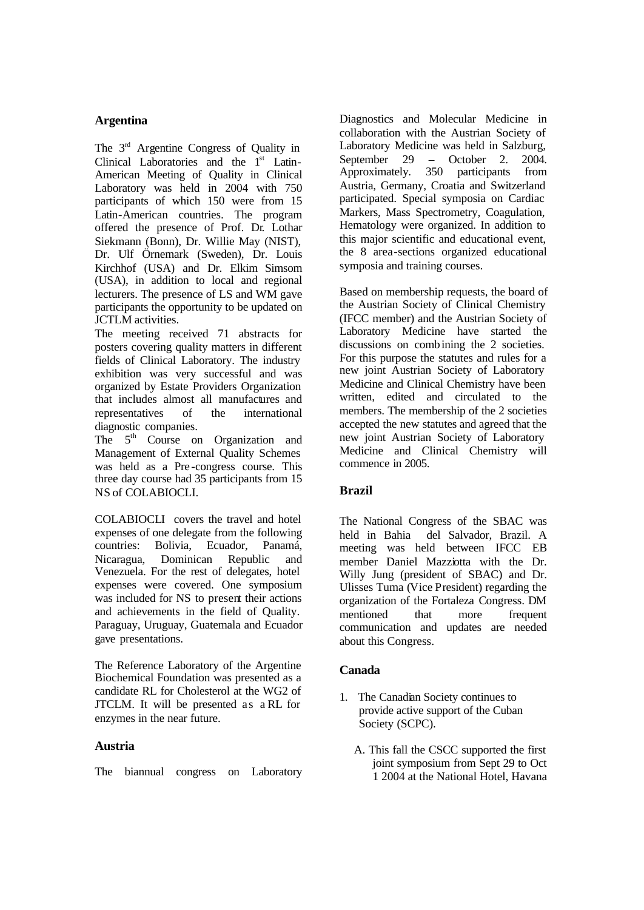# **Argentina**

The 3<sup>rd</sup> Argentine Congress of Quality in Clinical Laboratories and the 1<sup>st</sup> Latin-American Meeting of Quality in Clinical Laboratory was held in 2004 with 750 participants of which 150 were from 15 Latin-American countries. The program offered the presence of Prof. Dr. Lothar Siekmann (Bonn), Dr. Willie May (NIST), Dr. Ulf Örnemark (Sweden), Dr. Louis Kirchhof (USA) and Dr. Elkim Simsom (USA), in addition to local and regional lecturers. The presence of LS and WM gave participants the opportunity to be updated on JCTLM activities.

The meeting received 71 abstracts for posters covering quality matters in different fields of Clinical Laboratory. The industry exhibition was very successful and was organized by Estate Providers Organization that includes almost all manufactures and representatives of the international diagnostic companies.

The 5<sup>th</sup> Course on Organization and Management of External Quality Schemes was held as a Pre -congress course. This three day course had 35 participants from 15 NS of COLABIOCLI.

COLABIOCLI covers the travel and hotel expenses of one delegate from the following countries: Bolivia, Ecuador, Panamá, Nicaragua, Dominican Republic and Venezuela. For the rest of delegates, hotel expenses were covered. One symposium was included for NS to present their actions and achievements in the field of Quality. Paraguay, Uruguay, Guatemala and Ecuador gave presentations.

The Reference Laboratory of the Argentine Biochemical Foundation was presented as a candidate RL for Cholesterol at the WG2 of JTCLM. It will be presented as a RL for enzymes in the near future.

# **Austria**

The biannual congress on Laboratory

Diagnostics and Molecular Medicine in collaboration with the Austrian Society of Laboratory Medicine was held in Salzburg, September 29 – October 2. 2004.<br>Approximately. 350 participants from 350 participants from Austria, Germany, Croatia and Switzerland participated. Special symposia on Cardiac Markers, Mass Spectrometry, Coagulation, Hematology were organized. In addition to this major scientific and educational event, the 8 area-sections organized educational symposia and training courses.

Based on membership requests, the board of the Austrian Society of Clinical Chemistry (IFCC member) and the Austrian Society of Laboratory Medicine have started the discussions on combining the 2 societies. For this purpose the statutes and rules for a new joint Austrian Society of Laboratory Medicine and Clinical Chemistry have been written, edited and circulated to the members. The membership of the 2 societies accepted the new statutes and agreed that the new joint Austrian Society of Laboratory Medicine and Clinical Chemistry will commence in 2005.

# **Brazil**

The National Congress of the SBAC was held in Bahia del Salvador, Brazil. A meeting was held between IFCC EB member Daniel Mazziotta with the Dr. Willy Jung (president of SBAC) and Dr. Ulisses Tuma (Vice President) regarding the organization of the Fortaleza Congress. DM mentioned that more frequent communication and updates are needed about this Congress.

# **Canada**

- 1. The Canadian Society continues to provide active support of the Cuban Society (SCPC).
	- A. This fall the CSCC supported the first joint symposium from Sept 29 to Oct 1 2004 at the National Hotel, Havana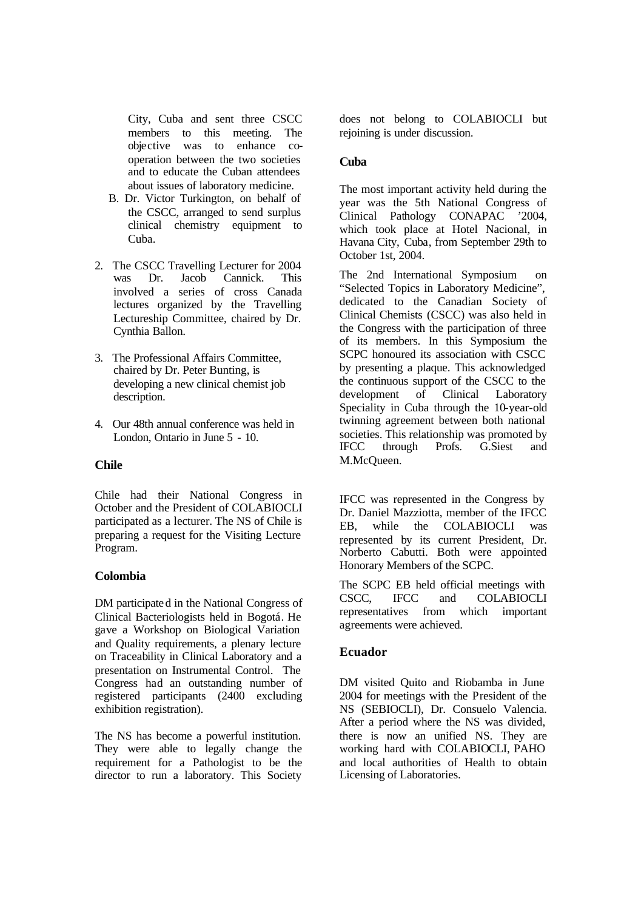City, Cuba and sent three CSCC members to this meeting. The objective was to enhance cooperation between the two societies and to educate the Cuban attendees about issues of laboratory medicine.

- B. Dr. Victor Turkington, on behalf of the CSCC, arranged to send surplus clinical chemistry equipment to Cuba.
- 2. The CSCC Travelling Lecturer for 2004 was Dr. Jacob Cannick. This involved a series of cross Canada lectures organized by the Travelling Lectureship Committee, chaired by Dr. Cynthia Ballon.
- 3. The Professional Affairs Committee, chaired by Dr. Peter Bunting, is developing a new clinical chemist job description.
- 4. Our 48th annual conference was held in London, Ontario in June 5 - 10.

# **Chile**

Chile had their National Congress in October and the President of COLABIOCLI participated as a lecturer. The NS of Chile is preparing a request for the Visiting Lecture Program.

# **Colombia**

DM participated in the National Congress of Clinical Bacteriologists held in Bogotá. He gave a Workshop on Biological Variation and Quality requirements, a plenary lecture on Traceability in Clinical Laboratory and a presentation on Instrumental Control. The Congress had an outstanding number of registered participants (2400 excluding exhibition registration).

The NS has become a powerful institution. They were able to legally change the requirement for a Pathologist to be the director to run a laboratory. This Society does not belong to COLABIOCLI but rejoining is under discussion.

# **Cuba**

The most important activity held during the year was the 5th National Congress of Clinical Pathology CONAPAC '2004, which took place at Hotel Nacional, in Havana City, Cuba, from September 29th to October 1st, 2004.

The 2nd International Symposium on "Selected Topics in Laboratory Medicine", dedicated to the Canadian Society of Clinical Chemists (CSCC) was also held in the Congress with the participation of three of its members. In this Symposium the SCPC honoured its association with CSCC by presenting a plaque. This acknowledged the continuous support of the CSCC to the development of Clinical Laboratory Speciality in Cuba through the 10-year-old twinning agreement between both national societies. This relationship was promoted by IFCC through Profs. G.Siest and M.McQueen.

IFCC was represented in the Congress by Dr. Daniel Mazziotta, member of the IFCC EB, while the COLABIOCLI was represented by its current President, Dr. Norberto Cabutti. Both were appointed Honorary Members of the SCPC.

The SCPC EB held official meetings with CSCC, IFCC and COLABIOCLI representatives from which important agreements were achieved.

# **Ecuador**

DM visited Quito and Riobamba in June 2004 for meetings with the President of the NS (SEBIOCLI), Dr. Consuelo Valencia. After a period where the NS was divided, there is now an unified NS. They are working hard with COLABIOCLI, PAHO and local authorities of Health to obtain Licensing of Laboratories.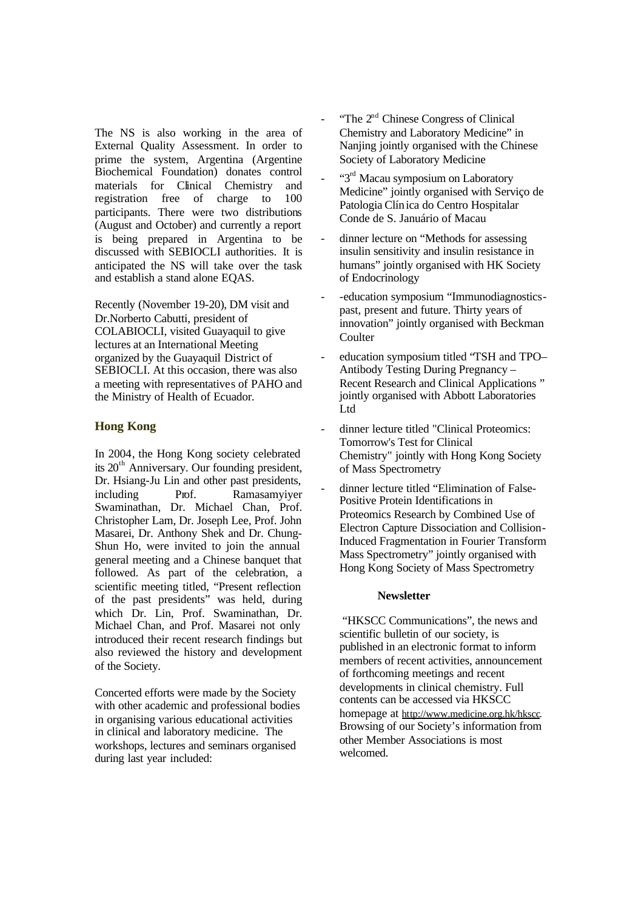The NS is also working in the area of External Quality Assessment. In order to prime the system, Argentina (Argentine Biochemical Foundation) donates control materials for Clinical Chemistry and registration free of charge to 100 participants. There were two distributions (August and October) and currently a report is being prepared in Argentina to be discussed with SEBIOCLI authorities. It is anticipated the NS will take over the task and establish a stand alone EQAS.

Recently (November 19-20), DM visit and Dr.Norberto Cabutti, president of COLABIOCLI, visited Guayaquil to give lectures at an International Meeting organized by the Guayaquil District of SEBIOCLI. At this occasion, there was also a meeting with representatives of PAHO and the Ministry of Health of Ecuador.

# **Hong Kong**

In 2004, the Hong Kong society celebrated its  $20<sup>th</sup>$  Anniversary. Our founding president, Dr. Hsiang-Ju Lin and other past presidents, including Prof. Ramasamyiyer Swaminathan, Dr. Michael Chan, Prof. Christopher Lam, Dr. Joseph Lee, Prof. John Masarei, Dr. Anthony Shek and Dr. Chung-Shun Ho, were invited to join the annual general meeting and a Chinese banquet that followed. As part of the celebration, a scientific meeting titled, "Present reflection of the past presidents" was held, during which Dr. Lin, Prof. Swaminathan, Dr. Michael Chan, and Prof. Masarei not only introduced their recent research findings but also reviewed the history and development of the Society.

Concerted efforts were made by the Society with other academic and professional bodies in organising various educational activities in clinical and laboratory medicine. The workshops, lectures and seminars organised during last year included:

- "The  $2<sup>nd</sup>$  Chinese Congress of Clinical Chemistry and Laboratory Medicine" in Nanjing jointly organised with the Chinese Society of Laboratory Medicine
- "3<sup>rd</sup> Macau symposium on Laboratory" Medicine" jointly organised with Serviço de Patologia Clínica do Centro Hospitalar Conde de S. Januário of Macau
- dinner lecture on "Methods for assessing insulin sensitivity and insulin resistance in humans" jointly organised with HK Society of Endocrinology
- education symposium "Immunodiagnosticspast, present and future. Thirty years of innovation" jointly organised with Beckman **Coulter**
- education symposium titled "TSH and TPO– Antibody Testing During Pregnancy – Recent Research and Clinical Applications " jointly organised with Abbott Laboratories Ltd
- dinner lecture titled "Clinical Proteomics: Tomorrow's Test for Clinical Chemistry" jointly with Hong Kong Society of Mass Spectrometry
- dinner lecture titled "Elimination of False-Positive Protein Identifications in Proteomics Research by Combined Use of Electron Capture Dissociation and Collision-Induced Fragmentation in Fourier Transform Mass Spectrometry" jointly organised with Hong Kong Society of Mass Spectrometry

#### **Newsletter**

 "HKSCC Communications", the news and scientific bulletin of our society, is published in an electronic format to inform members of recent activities, announcement of forthcoming meetings and recent developments in clinical chemistry. Full contents can be accessed via HKSCC homepage at http://www.medicine.org.hk/hkscc. Browsing of our Society's information from other Member Associations is most welcomed.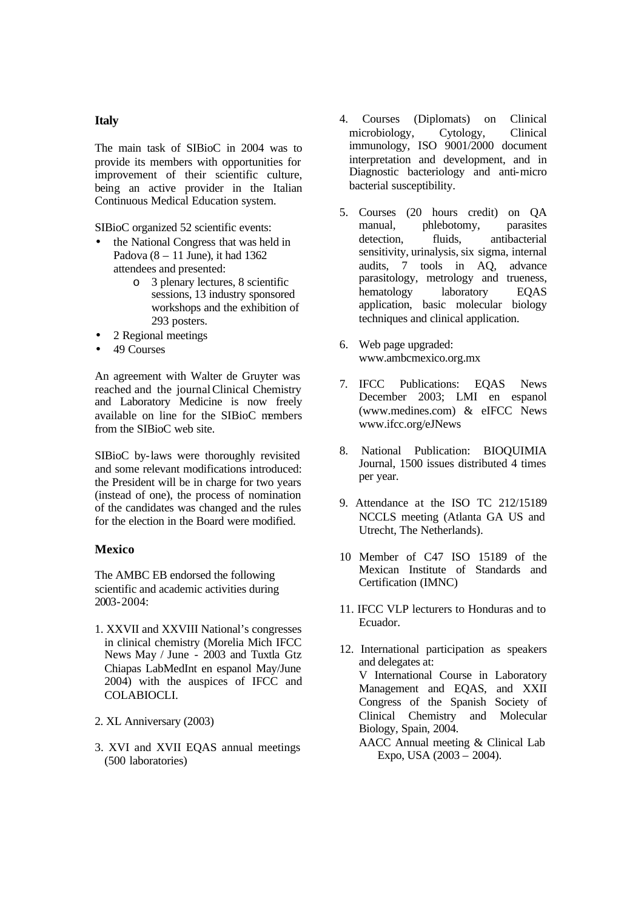#### **Italy**

The main task of SIBioC in 2004 was to provide its members with opportunities for improvement of their scientific culture, being an active provider in the Italian Continuous Medical Education system.

SIBioC organized 52 scientific events:

- the National Congress that was held in Padova  $(8 - 11)$  June), it had 1362 attendees and presented:
	- o 3 plenary lectures, 8 scientific sessions, 13 industry sponsored workshops and the exhibition of 293 posters.
- 2 Regional meetings
- 49 Courses

An agreement with Walter de Gruyter was reached and the journal Clinical Chemistry and Laboratory Medicine is now freely available on line for the SIBioC members from the SIBioC web site.

SIBioC by-laws were thoroughly revisited and some relevant modifications introduced: the President will be in charge for two years (instead of one), the process of nomination of the candidates was changed and the rules for the election in the Board were modified.

# **Mexico**

The AMBC EB endorsed the following scientific and academic activities during 2003-2004:

- 1. XXVII and XXVIII National's congresses in clinical chemistry (Morelia Mich IFCC News May / June - 2003 and Tuxtla Gtz Chiapas LabMedInt en espanol May/June 2004) with the auspices of IFCC and COLABIOCLI.
- 2. XL Anniversary (2003)
- 3. XVI and XVII EQAS annual meetings (500 laboratories)
- 4. Courses (Diplomats) on Clinical microbiology, Cytology, Clinical immunology, ISO 9001/2000 document interpretation and development, and in Diagnostic bacteriology and anti-micro bacterial susceptibility.
- 5. Courses (20 hours credit) on QA manual, phlebotomy, parasites detection. fluids, antibacterial sensitivity, urinalysis, six sigma, internal audits, 7 tools in AQ, advance parasitology, metrology and trueness, hematology laboratory EQAS application, basic molecular biology techniques and clinical application.
- 6. Web page upgraded: www.ambcmexico.org.mx
- 7. IFCC Publications: EQAS News December 2003; LMI en espanol (www.medines.com) & eIFCC News www.ifcc.org/eJNews
- 8. National Publication: BIOQUIMIA Journal, 1500 issues distributed 4 times per year.
- 9. Attendance at the ISO TC 212/15189 NCCLS meeting (Atlanta GA US and Utrecht, The Netherlands).
- 10 Member of C47 ISO 15189 of the Mexican Institute of Standards and Certification (IMNC)
- 11. IFCC VLP lecturers to Honduras and to Ecuador.
- 12. International participation as speakers and delegates at: V International Course in Laboratory Management and EQAS, and XXII Congress of the Spanish Society of Clinical Chemistry and Molecular Biology, Spain, 2004. AACC Annual meeting & Clinical Lab
	- Expo, USA (2003 2004).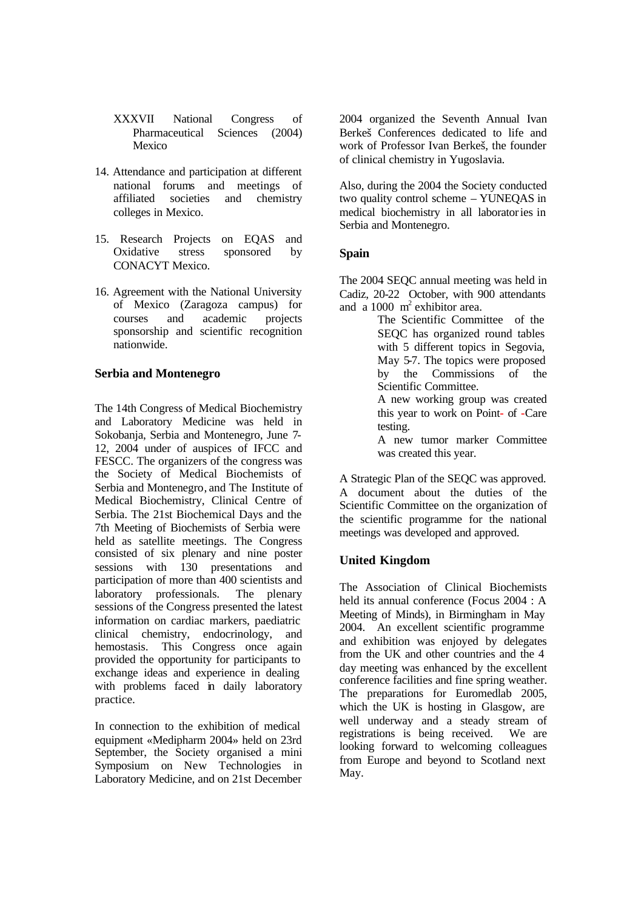- XXXVII National Congress of Pharmaceutical Sciences (2004) Mexico
- 14. Attendance and participation at different national forums and meetings of affiliated societies and chemistry colleges in Mexico.
- 15. Research Projects on EQAS and Oxidative stress sponsored by CONACYT Mexico.
- 16. Agreement with the National University of Mexico (Zaragoza campus) for courses and academic projects sponsorship and scientific recognition nationwide.

# **Serbia and Montenegro**

The 14th Congress of Medical Biochemistry and Laboratory Medicine was held in Sokobanja, Serbia and Montenegro, June 7- 12, 2004 under of auspices of IFCC and FESCC. The organizers of the congress was the Society of Medical Biochemists of Serbia and Montenegro, and The Institute of Medical Biochemistry, Clinical Centre of Serbia. The 21st Biochemical Days and the 7th Meeting of Biochemists of Serbia were held as satellite meetings. The Congress consisted of six plenary and nine poster sessions with 130 presentations and participation of more than 400 scientists and laboratory professionals. The plenary sessions of the Congress presented the latest information on cardiac markers, paediatric clinical chemistry, endocrinology, and hemostasis. This Congress once again provided the opportunity for participants to exchange ideas and experience in dealing with problems faced in daily laboratory practice.

In connection to the exhibition of medical equipment «Medipharm 2004» held on 23rd September, the Society organised a mini Symposium on New Technologies in Laboratory Medicine, and on 21st December 2004 organized the Seventh Annual Ivan Berkeš Conferences dedicated to life and work of Professor Ivan Berkeš, the founder of clinical chemistry in Yugoslavia.

Also, during the 2004 the Society conducted two quality control scheme – YUNEQAS in medical biochemistry in all laboratories in Serbia and Montenegro.

# **Spain**

The 2004 SEQC annual meeting was held in Cadiz, 20-22 October, with 900 attendants and a 1000  $m^2$  exhibitor area.

The Scientific Committee of the SEQC has organized round tables with 5 different topics in Segovia, May 5-7. The topics were proposed by the Commissions of the Scientific Committee.

A new working group was created this year to work on Point**-** of **-**Care testing.

A new tumor marker Committee was created this year.

A Strategic Plan of the SEQC was approved. A document about the duties of the Scientific Committee on the organization of the scientific programme for the national meetings was developed and approved.

# **United Kingdom**

The Association of Clinical Biochemists held its annual conference (Focus 2004 : A Meeting of Minds), in Birmingham in May 2004. An excellent scientific programme and exhibition was enjoyed by delegates from the UK and other countries and the 4 day meeting was enhanced by the excellent conference facilities and fine spring weather. The preparations for Euromedlab 2005, which the UK is hosting in Glasgow, are well underway and a steady stream of registrations is being received. We are looking forward to welcoming colleagues from Europe and beyond to Scotland next May.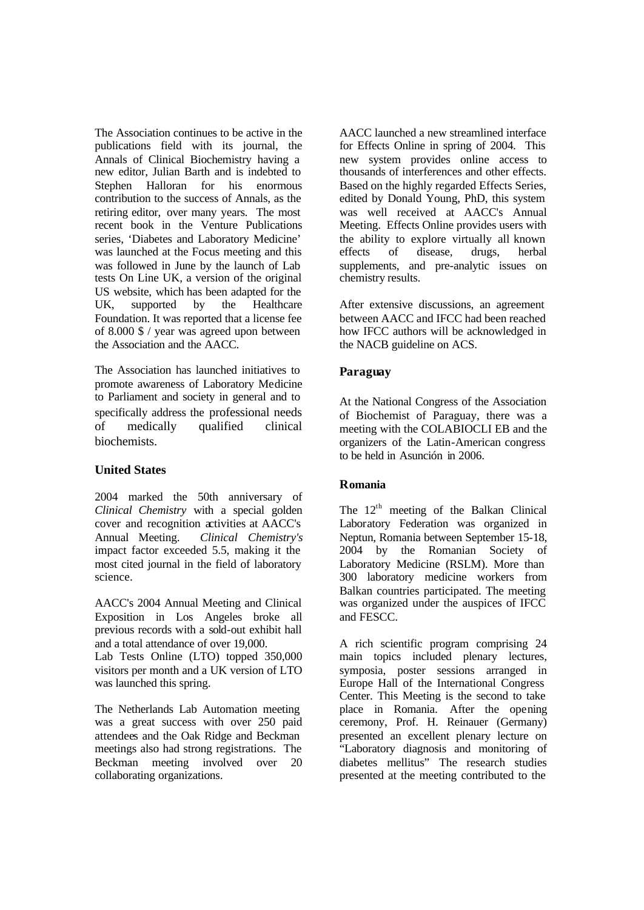The Association continues to be active in the publications field with its journal, the Annals of Clinical Biochemistry having a new editor, Julian Barth and is indebted to Stephen Halloran for his enormous contribution to the success of Annals, as the retiring editor, over many years. The most recent book in the Venture Publications series, 'Diabetes and Laboratory Medicine' was launched at the Focus meeting and this was followed in June by the launch of Lab tests On Line UK, a version of the original US website, which has been adapted for the UK, supported by the Healthcare Foundation. It was reported that a license fee of 8.000 \$ / year was agreed upon between the Association and the AACC.

The Association has launched initiatives to promote awareness of Laboratory Medicine to Parliament and society in general and to specifically address the professional needs of medically qualified clinical biochemists.

# **United States**

2004 marked the 50th anniversary of *Clinical Chemistry* with a special golden cover and recognition activities at AACC's Annual Meeting. *Clinical Chemistry's* impact factor exceeded 5.5, making it the most cited journal in the field of laboratory science.

AACC's 2004 Annual Meeting and Clinical Exposition in Los Angeles broke all previous records with a sold-out exhibit hall and a total attendance of over 19,000.

Lab Tests Online (LTO) topped 350,000 visitors per month and a UK version of LTO was launched this spring.

The Netherlands Lab Automation meeting was a great success with over 250 paid attendees and the Oak Ridge and Beckman meetings also had strong registrations. The Beckman meeting involved over 20 collaborating organizations.

AACC launched a new streamlined interface for Effects Online in spring of 2004. This new system provides online access to thousands of interferences and other effects. Based on the highly regarded Effects Series, edited by Donald Young, PhD, this system was well received at AACC's Annual Meeting. Effects Online provides users with the ability to explore virtually all known effects of disease, drugs, herbal supplements, and pre-analytic issues on chemistry results.

After extensive discussions, an agreement between AACC and IFCC had been reached how IFCC authors will be acknowledged in the NACB guideline on ACS.

# **Paraguay**

At the National Congress of the Association of Biochemist of Paraguay, there was a meeting with the COLABIOCLI EB and the organizers of the Latin-American congress to be held in Asunción in 2006.

# **Romania**

The  $12<sup>th</sup>$  meeting of the Balkan Clinical Laboratory Federation was organized in Neptun, Romania between September 15-18, 2004 by the Romanian Society of Laboratory Medicine (RSLM). More than 300 laboratory medicine workers from Balkan countries participated. The meeting was organized under the auspices of IFCC and FESCC.

A rich scientific program comprising 24 main topics included plenary lectures, symposia, poster sessions arranged in Europe Hall of the International Congress Center. This Meeting is the second to take place in Romania. After the opening ceremony, Prof. H. Reinauer (Germany) presented an excellent plenary lecture on "Laboratory diagnosis and monitoring of diabetes mellitus" The research studies presented at the meeting contributed to the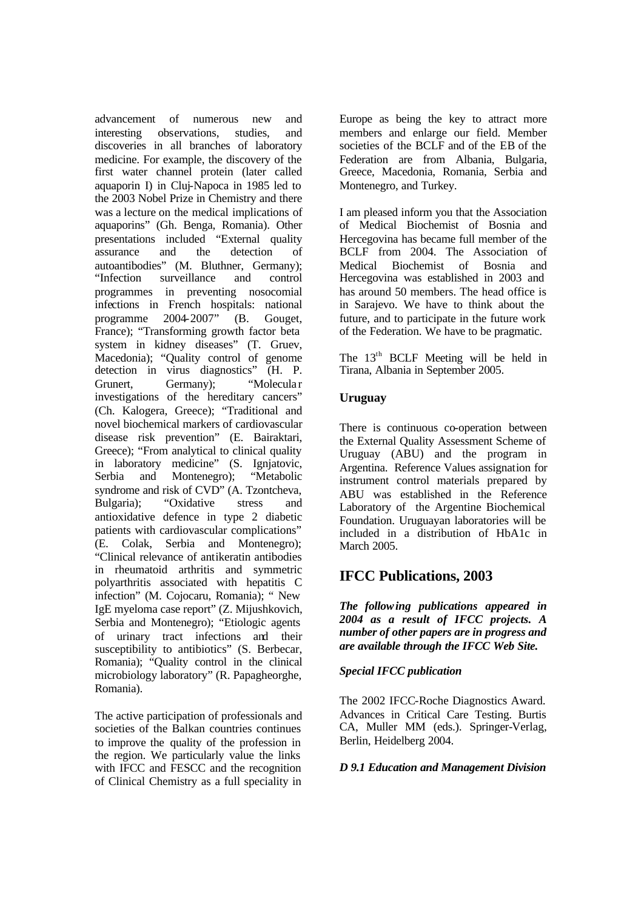advancement of numerous new and interesting observations, studies, and discoveries in all branches of laboratory medicine. For example, the discovery of the first water channel protein (later called aquaporin I) in Cluj-Napoca in 1985 led to the 2003 Nobel Prize in Chemistry and there was a lecture on the medical implications of aquaporins" (Gh. Benga, Romania). Other presentations included "External quality assurance and the detection of autoantibodies" (M. Bluthner, Germany);<br>"Infection surveillance and control "Infection surveillance and control programmes in preventing nosocomial infections in French hospitals: national programme 2004-2007" (B. Gouget, France); "Transforming growth factor beta system in kidney diseases" (T. Gruev, Macedonia); "Quality control of genome detection in virus diagnostics" (H. P. Grunert, Germany); "Molecular investigations of the hereditary cancers" (Ch. Kalogera, Greece); "Traditional and novel biochemical markers of cardiovascular disease risk prevention" (E. Bairaktari, Greece); "From analytical to clinical quality in laboratory medicine" (S. Ignjatovic, Serbia and Montenegro); "Metabolic syndrome and risk of CVD" (A. Tzontcheva, Bulgaria); "Oxidative stress and antioxidative defence in type 2 diabetic patients with cardiovascular complications" (E. Colak, Serbia and Montenegro); "Clinical relevance of antikeratin antibodies in rheumatoid arthritis and symmetric polyarthritis associated with hepatitis C infection" (M. Cojocaru, Romania); " New IgE myeloma case report" (Z. Mijushkovich, Serbia and Montenegro); "Etiologic agents of urinary tract infections and their susceptibility to antibiotics" (S. Berbecar, Romania); "Quality control in the clinical microbiology laboratory" (R. Papagheorghe, Romania).

The active participation of professionals and societies of the Balkan countries continues to improve the quality of the profession in the region. We particularly value the links with IFCC and FESCC and the recognition of Clinical Chemistry as a full speciality in Europe as being the key to attract more members and enlarge our field. Member societies of the BCLF and of the EB of the Federation are from Albania, Bulgaria, Greece, Macedonia, Romania, Serbia and Montenegro, and Turkey.

I am pleased inform you that the Association of Medical Biochemist of Bosnia and Hercegovina has became full member of the BCLF from 2004. The Association of Medical Biochemist of Bosnia and Hercegovina was established in 2003 and has around 50 members. The head office is in Sarajevo. We have to think about the future, and to participate in the future work of the Federation. We have to be pragmatic.

The 13<sup>th</sup> BCLF Meeting will be held in Tirana, Albania in September 2005.

# **Uruguay**

There is continuous co-operation between the External Quality Assessment Scheme of Uruguay (ABU) and the program in Argentina. Reference Values assignation for instrument control materials prepared by ABU was established in the Reference Laboratory of the Argentine Biochemical Foundation. Uruguayan laboratories will be included in a distribution of HbA1c in March 2005.

# **IFCC Publications, 2003**

*The following publications appeared in 2004 as a result of IFCC projects. A number of other papers are in progress and are available through the IFCC Web Site.*

# *Special IFCC publication*

The 2002 IFCC-Roche Diagnostics Award. Advances in Critical Care Testing. Burtis CA, Muller MM (eds.). Springer-Verlag, Berlin, Heidelberg 2004.

# *D 9.1 Education and Management Division*